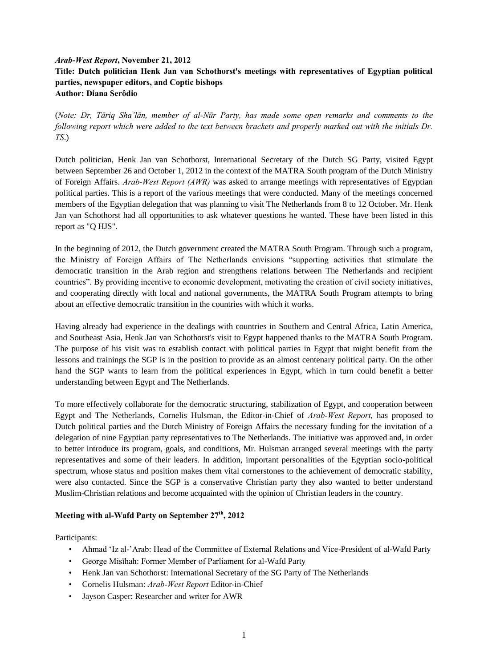# *Arab-West Report***, November 21, 2012 Title: Dutch politician Henk Jan van Schothorst's meetings with representatives of Egyptian political parties, newspaper editors, and Coptic bishops Author: Diana Serôdio**

(*Note: Dr, Tāriq Sha'lān, member of al-Nūr Party, has made some open remarks and comments to the following report which were added to the text between brackets and properly marked out with the initials Dr. TS*.)

Dutch politician, Henk Jan van Schothorst, International Secretary of the Dutch SG Party, visited Egypt between September 26 and October 1, 2012 in the context of the MATRA South program of the Dutch Ministry of Foreign Affairs. *Arab-West Report (AWR)* was asked to arrange meetings with representatives of Egyptian political parties. This is a report of the various meetings that were conducted. Many of the meetings concerned members of the Egyptian delegation that was planning to visit The Netherlands from 8 to 12 October. Mr. Henk Jan van Schothorst had all opportunities to ask whatever questions he wanted. These have been listed in this report as "Q HJS".

In the beginning of 2012, the Dutch government created the MATRA South Program. Through such a program, the Ministry of Foreign Affairs of The Netherlands envisions "supporting activities that stimulate the democratic transition in the Arab region and strengthens relations between The Netherlands and recipient countries". By providing incentive to economic development, motivating the creation of civil society initiatives, and cooperating directly with local and national governments, the MATRA South Program attempts to bring about an effective democratic transition in the countries with which it works.

Having already had experience in the dealings with countries in Southern and Central Africa, Latin America, and Southeast Asia, Henk Jan van Schothorst's visit to Egypt happened thanks to the MATRA South Program. The purpose of his visit was to establish contact with political parties in Egypt that might benefit from the lessons and trainings the SGP is in the position to provide as an almost centenary political party. On the other hand the SGP wants to learn from the political experiences in Egypt, which in turn could benefit a better understanding between Egypt and The Netherlands.

To more effectively collaborate for the democratic structuring, stabilization of Egypt, and cooperation between Egypt and The Netherlands, Cornelis Hulsman, the Editor-in-Chief of *Arab-West Report*, has proposed to Dutch political parties and the Dutch Ministry of Foreign Affairs the necessary funding for the invitation of a delegation of nine Egyptian party representatives to The Netherlands. The initiative was approved and, in order to better introduce its program, goals, and conditions, Mr. Hulsman arranged several meetings with the party representatives and some of their leaders. In addition, important personalities of the Egyptian socio-political spectrum, whose status and position makes them vital cornerstones to the achievement of democratic stability, were also contacted. Since the SGP is a conservative Christian party they also wanted to better understand Muslim-Christian relations and become acquainted with the opinion of Christian leaders in the country.

# **Meeting with al-Wafd Party on September 27th, 2012**

Participants:

- Ahmad 'Iz al-'Arab: Head of the Committee of External Relations and Vice-President of al-Wafd Party
- George Misīhah: Former Member of Parliament for al-Wafd Party
- Henk Jan van Schothorst: International Secretary of the SG Party of The Netherlands
- Cornelis Hulsman: *Arab-West Report* Editor-in-Chief
- Jayson Casper: Researcher and writer for AWR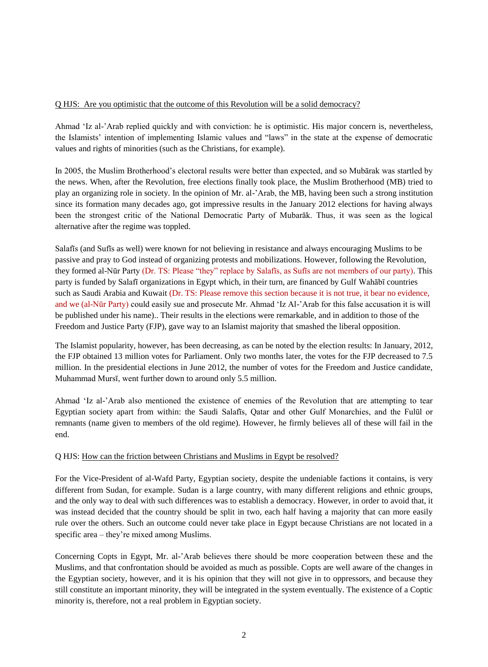#### Q HJS: Are you optimistic that the outcome of this Revolution will be a solid democracy?

Ahmad 'Iz al-'Arab replied quickly and with conviction: he is optimistic. His major concern is, nevertheless, the Islamists' intention of implementing Islamic values and "laws" in the state at the expense of democratic values and rights of minorities (such as the Christians, for example).

In 2005, the Muslim Brotherhood's electoral results were better than expected, and so Mubārak was startled by the news. When, after the Revolution, free elections finally took place, the Muslim Brotherhood (MB) tried to play an organizing role in society. In the opinion of Mr. al-'Arab, the MB, having been such a strong institution since its formation many decades ago, got impressive results in the January 2012 elections for having always been the strongest critic of the National Democratic Party of Mubarāk. Thus, it was seen as the logical alternative after the regime was toppled.

Salafīs (and Sufīs as well) were known for not believing in resistance and always encouraging Muslims to be passive and pray to God instead of organizing protests and mobilizations. However, following the Revolution, they formed al-Nūr Party (Dr. TS: Please "they" replace by Salafīs, as Sufīs are not members of our party). This party is funded by Salafī organizations in Egypt which, in their turn, are financed by Gulf Wahābī countries such as Saudi Arabia and Kuwait (Dr. TS: Please remove this section because it is not true, it bear no evidence, and we (al-Nūr Party) could easily sue and prosecute Mr. Ahmad 'Iz Al-'Arab for this false accusation it is will be published under his name).. Their results in the elections were remarkable, and in addition to those of the Freedom and Justice Party (FJP), gave way to an Islamist majority that smashed the liberal opposition.

The Islamist popularity, however, has been decreasing, as can be noted by the election results: In January, 2012, the FJP obtained 13 million votes for Parliament. Only two months later, the votes for the FJP decreased to 7.5 million. In the presidential elections in June 2012, the number of votes for the Freedom and Justice candidate, Muhammad Mursī, went further down to around only 5.5 million.

Ahmad 'Iz al-'Arab also mentioned the existence of enemies of the Revolution that are attempting to tear Egyptian society apart from within: the Saudi Salafīs, Qatar and other Gulf Monarchies, and the Fulūl or remnants (name given to members of the old regime). However, he firmly believes all of these will fail in the end.

#### Q HJS: How can the friction between Christians and Muslims in Egypt be resolved?

For the Vice-President of al-Wafd Party, Egyptian society, despite the undeniable factions it contains, is very different from Sudan, for example. Sudan is a large country, with many different religions and ethnic groups, and the only way to deal with such differences was to establish a democracy. However, in order to avoid that, it was instead decided that the country should be split in two, each half having a majority that can more easily rule over the others. Such an outcome could never take place in Egypt because Christians are not located in a specific area – they're mixed among Muslims.

Concerning Copts in Egypt, Mr. al-'Arab believes there should be more cooperation between these and the Muslims, and that confrontation should be avoided as much as possible. Copts are well aware of the changes in the Egyptian society, however, and it is his opinion that they will not give in to oppressors, and because they still constitute an important minority, they will be integrated in the system eventually. The existence of a Coptic minority is, therefore, not a real problem in Egyptian society.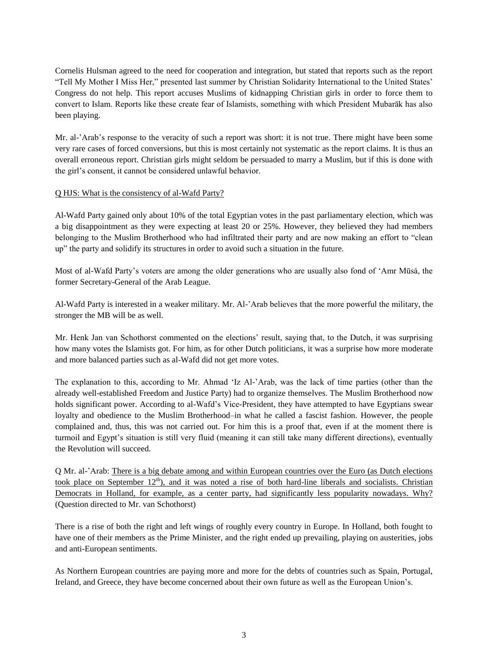Cornelis Hulsman agreed to the need for cooperation and integration, but stated that reports such as the report "Tell My Mother I Miss Her," presented last summer by Christian Solidarity International to the United States' Congress do not help. This report accuses Muslims of kidnapping Christian girls in order to force them to convert to Islam. Reports like these create fear of Islamists, something with which President Mubarāk has also been playing.

Mr. al-'Arab's response to the veracity of such a report was short: it is not true. There might have been some very rare cases of forced conversions, but this is most certainly not systematic as the report claims. It is thus an overall erroneous report. Christian girls might seldom be persuaded to marry a Muslim, but if this is done with the girl's consent, it cannot be considered unlawful behavior.

#### Q HJS: What is the consistency of al-Wafd Party?

Al-Wafd Party gained only about 10% of the total Egyptian votes in the past parliamentary election, which was a big disappointment as they were expecting at least 20 or 25%. However, they believed they had members belonging to the Muslim Brotherhood who had infiltrated their party and are now making an effort to "clean up" the party and solidify its structures in order to avoid such a situation in the future.

Most of al-Wafd Party's voters are among the older generations who are usually also fond of 'Amr Mūsá, the former Secretary-General of the Arab League.

Al-Wafd Party is interested in a weaker military. Mr. Al-'Arab believes that the more powerful the military, the stronger the MB will be as well.

Mr. Henk Jan van Schothorst commented on the elections' result, saying that, to the Dutch, it was surprising how many votes the Islamists got. For him, as for other Dutch politicians, it was a surprise how more moderate and more balanced parties such as al-Wafd did not get more votes.

The explanation to this, according to Mr. Ahmad 'Iz Al-'Arab, was the lack of time parties (other than the already well-established Freedom and Justice Party) had to organize themselves. The Muslim Brotherhood now holds significant power. According to al-Wafd's Vice-President, they have attempted to have Egyptians swear loyalty and obedience to the Muslim Brotherhood–in what he called a fascist fashion. However, the people complained and, thus, this was not carried out. For him this is a proof that, even if at the moment there is turmoil and Egypt's situation is still very fluid (meaning it can still take many different directions), eventually the Revolution will succeed.

Q Mr. al-'Arab: There is a big debate among and within European countries over the Euro (as Dutch elections took place on September  $12<sup>th</sup>$ ), and it was noted a rise of both hard-line liberals and socialists. Christian Democrats in Holland, for example, as a center party, had significantly less popularity nowadays. Why? (Question directed to Mr. van Schothorst)

There is a rise of both the right and left wings of roughly every country in Europe. In Holland, both fought to have one of their members as the Prime Minister, and the right ended up prevailing, playing on austerities, jobs and anti-European sentiments.

As Northern European countries are paying more and more for the debts of countries such as Spain, Portugal, Ireland, and Greece, they have become concerned about their own future as well as the European Union's.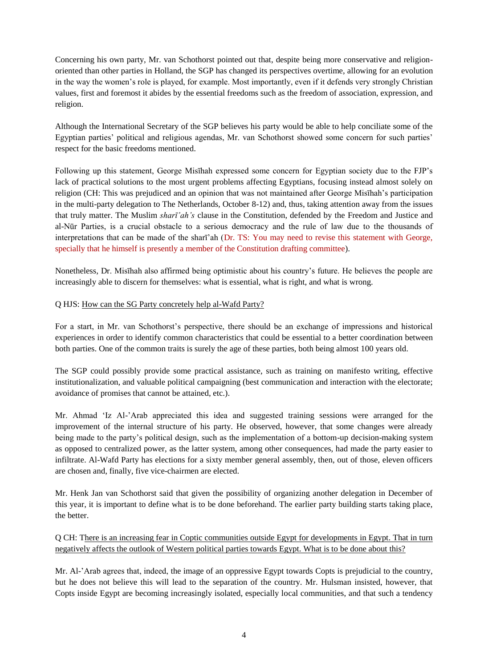Concerning his own party, Mr. van Schothorst pointed out that, despite being more conservative and religionoriented than other parties in Holland, the SGP has changed its perspectives overtime, allowing for an evolution in the way the women's role is played, for example. Most importantly, even if it defends very strongly Christian values, first and foremost it abides by the essential freedoms such as the freedom of association, expression, and religion.

Although the International Secretary of the SGP believes his party would be able to help conciliate some of the Egyptian parties' political and religious agendas, Mr. van Schothorst showed some concern for such parties' respect for the basic freedoms mentioned.

Following up this statement, George Misīhah expressed some concern for Egyptian society due to the FJP's lack of practical solutions to the most urgent problems affecting Egyptians, focusing instead almost solely on religion (CH: This was prejudiced and an opinion that was not maintained after George Misīhah's participation in the multi-party delegation to The Netherlands, October 8-12) and, thus, taking attention away from the issues that truly matter. The Muslim *sharī'ah's* clause in the Constitution, defended by the Freedom and Justice and al-Nūr Parties, is a crucial obstacle to a serious democracy and the rule of law due to the thousands of interpretations that can be made of the sharī'ah (Dr. TS: You may need to revise this statement with George, specially that he himself is presently a member of the Constitution drafting committee).

Nonetheless, Dr. Misīhah also affirmed being optimistic about his country's future. He believes the people are increasingly able to discern for themselves: what is essential, what is right, and what is wrong.

#### Q HJS: How can the SG Party concretely help al-Wafd Party?

For a start, in Mr. van Schothorst's perspective, there should be an exchange of impressions and historical experiences in order to identify common characteristics that could be essential to a better coordination between both parties. One of the common traits is surely the age of these parties, both being almost 100 years old.

The SGP could possibly provide some practical assistance, such as training on manifesto writing, effective institutionalization, and valuable political campaigning (best communication and interaction with the electorate; avoidance of promises that cannot be attained, etc.).

Mr. Ahmad 'Iz Al-'Arab appreciated this idea and suggested training sessions were arranged for the improvement of the internal structure of his party. He observed, however, that some changes were already being made to the party's political design, such as the implementation of a bottom-up decision-making system as opposed to centralized power, as the latter system, among other consequences, had made the party easier to infiltrate. Al-Wafd Party has elections for a sixty member general assembly, then, out of those, eleven officers are chosen and, finally, five vice-chairmen are elected.

Mr. Henk Jan van Schothorst said that given the possibility of organizing another delegation in December of this year, it is important to define what is to be done beforehand. The earlier party building starts taking place, the better.

Q CH: There is an increasing fear in Coptic communities outside Egypt for developments in Egypt. That in turn negatively affects the outlook of Western political parties towards Egypt. What is to be done about this?

Mr. Al-'Arab agrees that, indeed, the image of an oppressive Egypt towards Copts is prejudicial to the country, but he does not believe this will lead to the separation of the country. Mr. Hulsman insisted, however, that Copts inside Egypt are becoming increasingly isolated, especially local communities, and that such a tendency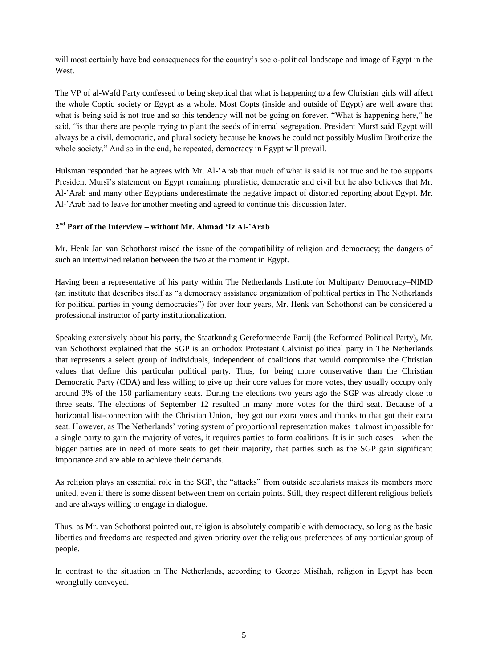will most certainly have bad consequences for the country's socio-political landscape and image of Egypt in the West.

The VP of al-Wafd Party confessed to being skeptical that what is happening to a few Christian girls will affect the whole Coptic society or Egypt as a whole. Most Copts (inside and outside of Egypt) are well aware that what is being said is not true and so this tendency will not be going on forever. "What is happening here," he said, "is that there are people trying to plant the seeds of internal segregation. President Mursī said Egypt will always be a civil, democratic, and plural society because he knows he could not possibly Muslim Brotherize the whole society." And so in the end, he repeated, democracy in Egypt will prevail.

Hulsman responded that he agrees with Mr. Al-'Arab that much of what is said is not true and he too supports President Mursī's statement on Egypt remaining pluralistic, democratic and civil but he also believes that Mr. Al-'Arab and many other Egyptians underestimate the negative impact of distorted reporting about Egypt. Mr. Al-'Arab had to leave for another meeting and agreed to continue this discussion later.

## **2 nd Part of the Interview – without Mr. Ahmad 'Iz Al-'Arab**

Mr. Henk Jan van Schothorst raised the issue of the compatibility of religion and democracy; the dangers of such an intertwined relation between the two at the moment in Egypt.

Having been a representative of his party within The Netherlands Institute for Multiparty Democracy–NIMD (an institute that describes itself as "a democracy assistance organization of political parties in The Netherlands for political parties in young democracies") for over four years, Mr. Henk van Schothorst can be considered a professional instructor of party institutionalization.

Speaking extensively about his party, the Staatkundig Gereformeerde Partij (the Reformed Political Party), Mr. van Schothorst explained that the SGP is an orthodox Protestant Calvinist political party in The Netherlands that represents a select group of individuals, independent of coalitions that would compromise the Christian values that define this particular political party. Thus, for being more conservative than the Christian Democratic Party (CDA) and less willing to give up their core values for more votes, they usually occupy only around 3% of the 150 parliamentary seats. During the elections two years ago the SGP was already close to three seats. The elections of September 12 resulted in many more votes for the third seat. Because of a horizontal list-connection with the Christian Union, they got our extra votes and thanks to that got their extra seat. However, as The Netherlands' voting system of proportional representation makes it almost impossible for a single party to gain the majority of votes, it requires parties to form coalitions. It is in such cases—when the bigger parties are in need of more seats to get their majority, that parties such as the SGP gain significant importance and are able to achieve their demands.

As religion plays an essential role in the SGP, the "attacks" from outside secularists makes its members more united, even if there is some dissent between them on certain points. Still, they respect different religious beliefs and are always willing to engage in dialogue.

Thus, as Mr. van Schothorst pointed out, religion is absolutely compatible with democracy, so long as the basic liberties and freedoms are respected and given priority over the religious preferences of any particular group of people.

In contrast to the situation in The Netherlands, according to George Misīhah, religion in Egypt has been wrongfully conveyed.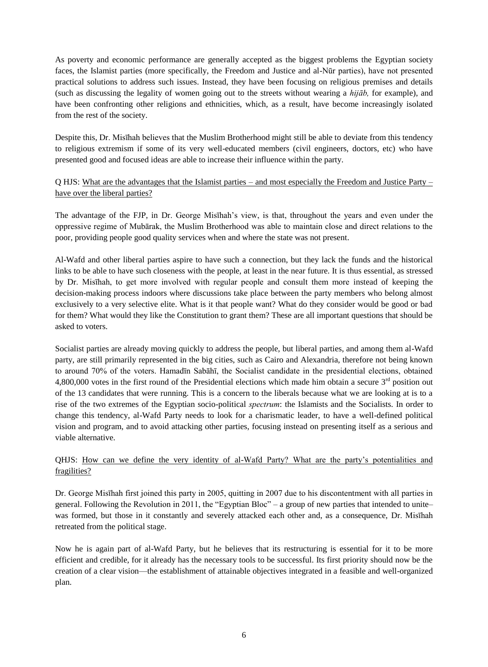As poverty and economic performance are generally accepted as the biggest problems the Egyptian society faces, the Islamist parties (more specifically, the Freedom and Justice and al-Nūr parties), have not presented practical solutions to address such issues. Instead, they have been focusing on religious premises and details (such as discussing the legality of women going out to the streets without wearing a *hijāb,* for example), and have been confronting other religions and ethnicities, which, as a result, have become increasingly isolated from the rest of the society.

Despite this, Dr. Misīhah believes that the Muslim Brotherhood might still be able to deviate from this tendency to religious extremism if some of its very well-educated members (civil engineers, doctors, etc) who have presented good and focused ideas are able to increase their influence within the party.

## Q HJS: What are the advantages that the Islamist parties – and most especially the Freedom and Justice Party – have over the liberal parties?

The advantage of the FJP, in Dr. George Misīhah's view, is that, throughout the years and even under the oppressive regime of Mubārak, the Muslim Brotherhood was able to maintain close and direct relations to the poor, providing people good quality services when and where the state was not present.

Al-Wafd and other liberal parties aspire to have such a connection, but they lack the funds and the historical links to be able to have such closeness with the people, at least in the near future. It is thus essential, as stressed by Dr. Misīhah, to get more involved with regular people and consult them more instead of keeping the decision-making process indoors where discussions take place between the party members who belong almost exclusively to a very selective elite. What is it that people want? What do they consider would be good or bad for them? What would they like the Constitution to grant them? These are all important questions that should be asked to voters.

Socialist parties are already moving quickly to address the people, but liberal parties, and among them al-Wafd party, are still primarily represented in the big cities, such as Cairo and Alexandria, therefore not being known to around 70% of the voters. Hamadīn Sabāhī, the Socialist candidate in the presidential elections, obtained 4,800,000 votes in the first round of the Presidential elections which made him obtain a secure  $3<sup>rd</sup>$  position out of the 13 candidates that were running. This is a concern to the liberals because what we are looking at is to a rise of the two extremes of the Egyptian socio-political *spectrum*: the Islamists and the Socialists. In order to change this tendency, al-Wafd Party needs to look for a charismatic leader, to have a well-defined political vision and program, and to avoid attacking other parties, focusing instead on presenting itself as a serious and viable alternative.

## QHJS: How can we define the very identity of al-Wafd Party? What are the party's potentialities and fragilities?

Dr. George Misīhah first joined this party in 2005, quitting in 2007 due to his discontentment with all parties in general. Following the Revolution in 2011, the "Egyptian Bloc" – a group of new parties that intended to unite– was formed, but those in it constantly and severely attacked each other and, as a consequence, Dr. Misīhah retreated from the political stage.

Now he is again part of al-Wafd Party, but he believes that its restructuring is essential for it to be more efficient and credible, for it already has the necessary tools to be successful. Its first priority should now be the creation of a clear vision—the establishment of attainable objectives integrated in a feasible and well-organized plan.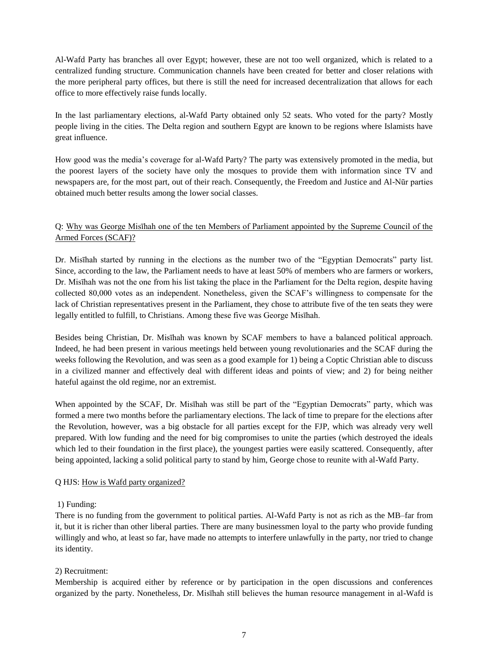Al-Wafd Party has branches all over Egypt; however, these are not too well organized, which is related to a centralized funding structure. Communication channels have been created for better and closer relations with the more peripheral party offices, but there is still the need for increased decentralization that allows for each office to more effectively raise funds locally.

In the last parliamentary elections, al-Wafd Party obtained only 52 seats. Who voted for the party? Mostly people living in the cities. The Delta region and southern Egypt are known to be regions where Islamists have great influence.

How good was the media's coverage for al-Wafd Party? The party was extensively promoted in the media, but the poorest layers of the society have only the mosques to provide them with information since TV and newspapers are, for the most part, out of their reach. Consequently, the Freedom and Justice and Al-Nūr parties obtained much better results among the lower social classes.

# Q: Why was George Misīhah one of the ten Members of Parliament appointed by the Supreme Council of the Armed Forces (SCAF)?

Dr. Misīhah started by running in the elections as the number two of the "Egyptian Democrats" party list. Since, according to the law, the Parliament needs to have at least 50% of members who are farmers or workers, Dr. Misīhah was not the one from his list taking the place in the Parliament for the Delta region, despite having collected 80,000 votes as an independent. Nonetheless, given the SCAF's willingness to compensate for the lack of Christian representatives present in the Parliament, they chose to attribute five of the ten seats they were legally entitled to fulfill, to Christians. Among these five was George Misīhah.

Besides being Christian, Dr. Misīhah was known by SCAF members to have a balanced political approach. Indeed, he had been present in various meetings held between young revolutionaries and the SCAF during the weeks following the Revolution, and was seen as a good example for 1) being a Coptic Christian able to discuss in a civilized manner and effectively deal with different ideas and points of view; and 2) for being neither hateful against the old regime, nor an extremist.

When appointed by the SCAF, Dr. Misīhah was still be part of the "Egyptian Democrats" party, which was formed a mere two months before the parliamentary elections. The lack of time to prepare for the elections after the Revolution, however, was a big obstacle for all parties except for the FJP, which was already very well prepared. With low funding and the need for big compromises to unite the parties (which destroyed the ideals which led to their foundation in the first place), the youngest parties were easily scattered. Consequently, after being appointed, lacking a solid political party to stand by him, George chose to reunite with al-Wafd Party.

#### Q HJS: How is Wafd party organized?

## 1) Funding:

There is no funding from the government to political parties. Al-Wafd Party is not as rich as the MB–far from it, but it is richer than other liberal parties. There are many businessmen loyal to the party who provide funding willingly and who, at least so far, have made no attempts to interfere unlawfully in the party, nor tried to change its identity.

## 2) Recruitment:

Membership is acquired either by reference or by participation in the open discussions and conferences organized by the party. Nonetheless, Dr. Misīhah still believes the human resource management in al-Wafd is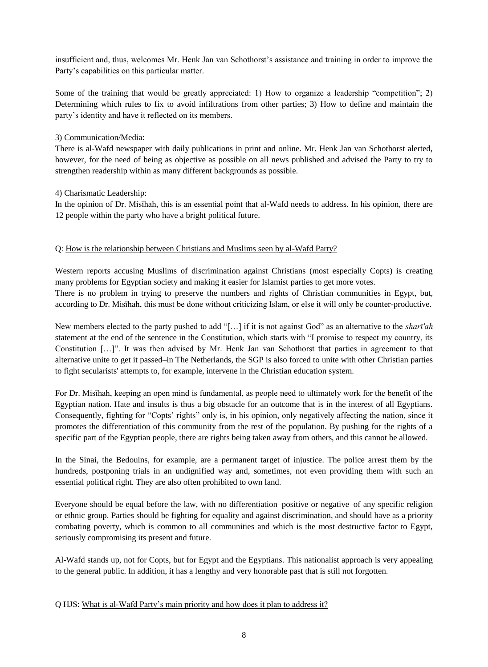insufficient and, thus, welcomes Mr. Henk Jan van Schothorst's assistance and training in order to improve the Party's capabilities on this particular matter.

Some of the training that would be greatly appreciated: 1) How to organize a leadership "competition"; 2) Determining which rules to fix to avoid infiltrations from other parties; 3) How to define and maintain the party's identity and have it reflected on its members.

### 3) Communication/Media:

There is al-Wafd newspaper with daily publications in print and online. Mr. Henk Jan van Schothorst alerted, however, for the need of being as objective as possible on all news published and advised the Party to try to strengthen readership within as many different backgrounds as possible.

### 4) Charismatic Leadership:

In the opinion of Dr. Misīhah, this is an essential point that al-Wafd needs to address. In his opinion, there are 12 people within the party who have a bright political future.

### Q: How is the relationship between Christians and Muslims seen by al-Wafd Party?

Western reports accusing Muslims of discrimination against Christians (most especially Copts) is creating many problems for Egyptian society and making it easier for Islamist parties to get more votes. There is no problem in trying to preserve the numbers and rights of Christian communities in Egypt, but, according to Dr. Misīhah, this must be done without criticizing Islam, or else it will only be counter-productive.

New members elected to the party pushed to add "[…] if it is not against God" as an alternative to the *sharī'ah* statement at the end of the sentence in the Constitution, which starts with "I promise to respect my country, its Constitution […]". It was then advised by Mr. Henk Jan van Schothorst that parties in agreement to that alternative unite to get it passed–in The Netherlands, the SGP is also forced to unite with other Christian parties to fight secularists' attempts to, for example, intervene in the Christian education system.

For Dr. Misīhah, keeping an open mind is fundamental, as people need to ultimately work for the benefit of the Egyptian nation. Hate and insults is thus a big obstacle for an outcome that is in the interest of all Egyptians. Consequently, fighting for "Copts' rights" only is, in his opinion, only negatively affecting the nation, since it promotes the differentiation of this community from the rest of the population. By pushing for the rights of a specific part of the Egyptian people, there are rights being taken away from others, and this cannot be allowed.

In the Sinai, the Bedouins, for example, are a permanent target of injustice. The police arrest them by the hundreds, postponing trials in an undignified way and, sometimes, not even providing them with such an essential political right. They are also often prohibited to own land.

Everyone should be equal before the law, with no differentiation–positive or negative–of any specific religion or ethnic group. Parties should be fighting for equality and against discrimination, and should have as a priority combating poverty, which is common to all communities and which is the most destructive factor to Egypt, seriously compromising its present and future.

Al-Wafd stands up, not for Copts, but for Egypt and the Egyptians. This nationalist approach is very appealing to the general public. In addition, it has a lengthy and very honorable past that is still not forgotten.

#### Q HJS: What is al-Wafd Party's main priority and how does it plan to address it?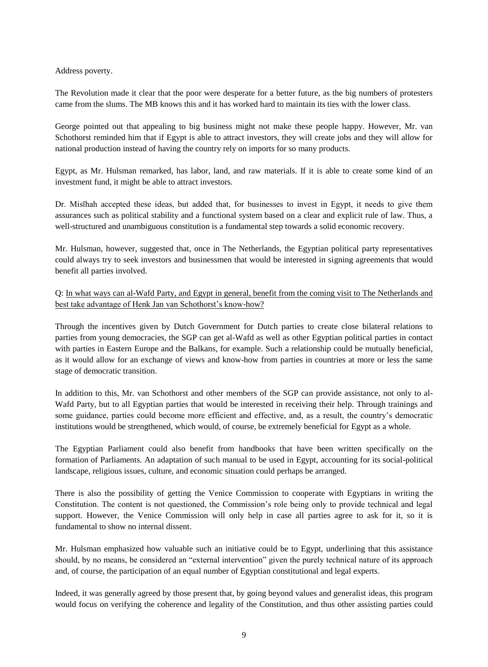Address poverty.

The Revolution made it clear that the poor were desperate for a better future, as the big numbers of protesters came from the slums. The MB knows this and it has worked hard to maintain its ties with the lower class.

George pointed out that appealing to big business might not make these people happy. However, Mr. van Schothorst reminded him that if Egypt is able to attract investors, they will create jobs and they will allow for national production instead of having the country rely on imports for so many products.

Egypt, as Mr. Hulsman remarked, has labor, land, and raw materials. If it is able to create some kind of an investment fund, it might be able to attract investors.

Dr. Misīhah accepted these ideas, but added that, for businesses to invest in Egypt, it needs to give them assurances such as political stability and a functional system based on a clear and explicit rule of law. Thus, a well-structured and unambiguous constitution is a fundamental step towards a solid economic recovery.

Mr. Hulsman, however, suggested that, once in The Netherlands, the Egyptian political party representatives could always try to seek investors and businessmen that would be interested in signing agreements that would benefit all parties involved.

Q: In what ways can al-Wafd Party, and Egypt in general, benefit from the coming visit to The Netherlands and best take advantage of Henk Jan van Schothorst's know-how?

Through the incentives given by Dutch Government for Dutch parties to create close bilateral relations to parties from young democracies, the SGP can get al-Wafd as well as other Egyptian political parties in contact with parties in Eastern Europe and the Balkans, for example. Such a relationship could be mutually beneficial, as it would allow for an exchange of views and know-how from parties in countries at more or less the same stage of democratic transition.

In addition to this, Mr. van Schothorst and other members of the SGP can provide assistance, not only to al-Wafd Party, but to all Egyptian parties that would be interested in receiving their help. Through trainings and some guidance, parties could become more efficient and effective, and, as a result, the country's democratic institutions would be strengthened, which would, of course, be extremely beneficial for Egypt as a whole.

The Egyptian Parliament could also benefit from handbooks that have been written specifically on the formation of Parliaments. An adaptation of such manual to be used in Egypt, accounting for its social-political landscape, religious issues, culture, and economic situation could perhaps be arranged.

There is also the possibility of getting the Venice Commission to cooperate with Egyptians in writing the Constitution. The content is not questioned, the Commission's role being only to provide technical and legal support. However, the Venice Commission will only help in case all parties agree to ask for it, so it is fundamental to show no internal dissent.

Mr. Hulsman emphasized how valuable such an initiative could be to Egypt, underlining that this assistance should, by no means, be considered an "external intervention" given the purely technical nature of its approach and, of course, the participation of an equal number of Egyptian constitutional and legal experts.

Indeed, it was generally agreed by those present that, by going beyond values and generalist ideas, this program would focus on verifying the coherence and legality of the Constitution, and thus other assisting parties could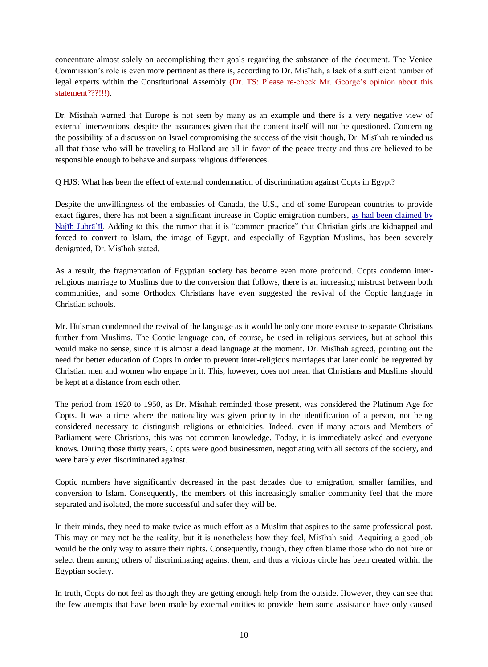concentrate almost solely on accomplishing their goals regarding the substance of the document. The Venice Commission's role is even more pertinent as there is, according to Dr. Misīhah, a lack of a sufficient number of legal experts within the Constitutional Assembly (Dr. TS: Please re-check Mr. George's opinion about this statement???!!!).

Dr. Misīhah warned that Europe is not seen by many as an example and there is a very negative view of external interventions, despite the assurances given that the content itself will not be questioned. Concerning the possibility of a discussion on Israel compromising the success of the visit though, Dr. Misīhah reminded us all that those who will be traveling to Holland are all in favor of the peace treaty and thus are believed to be responsible enough to behave and surpass religious differences.

#### Q HJS: What has been the effect of external condemnation of discrimination against Copts in Egypt?

Despite the unwillingness of the embassies of Canada, the U.S., and of some European countries to provide exact figures, there has not been a significant increase in Coptic emigration numbers, [as had been claimed by](http://www.arabwestreport.info/year-2012/week-26/40-coptic-migration-figures-euhro-disputed)  [Najīb Jubrā'īl.](http://www.arabwestreport.info/year-2012/week-26/40-coptic-migration-figures-euhro-disputed) Adding to this, the rumor that it is "common practice" that Christian girls are kidnapped and forced to convert to Islam, the image of Egypt, and especially of Egyptian Muslims, has been severely denigrated, Dr. Misīhah stated.

As a result, the fragmentation of Egyptian society has become even more profound. Copts condemn interreligious marriage to Muslims due to the conversion that follows, there is an increasing mistrust between both communities, and some Orthodox Christians have even suggested the revival of the Coptic language in Christian schools.

Mr. Hulsman condemned the revival of the language as it would be only one more excuse to separate Christians further from Muslims. The Coptic language can, of course, be used in religious services, but at school this would make no sense, since it is almost a dead language at the moment. Dr. Misīhah agreed, pointing out the need for better education of Copts in order to prevent inter-religious marriages that later could be regretted by Christian men and women who engage in it. This, however, does not mean that Christians and Muslims should be kept at a distance from each other.

The period from 1920 to 1950, as Dr. Misīhah reminded those present, was considered the Platinum Age for Copts. It was a time where the nationality was given priority in the identification of a person, not being considered necessary to distinguish religions or ethnicities. Indeed, even if many actors and Members of Parliament were Christians, this was not common knowledge. Today, it is immediately asked and everyone knows. During those thirty years, Copts were good businessmen, negotiating with all sectors of the society, and were barely ever discriminated against.

Coptic numbers have significantly decreased in the past decades due to emigration, smaller families, and conversion to Islam. Consequently, the members of this increasingly smaller community feel that the more separated and isolated, the more successful and safer they will be.

In their minds, they need to make twice as much effort as a Muslim that aspires to the same professional post. This may or may not be the reality, but it is nonetheless how they feel, Misīhah said. Acquiring a good job would be the only way to assure their rights. Consequently, though, they often blame those who do not hire or select them among others of discriminating against them, and thus a vicious circle has been created within the Egyptian society.

In truth, Copts do not feel as though they are getting enough help from the outside. However, they can see that the few attempts that have been made by external entities to provide them some assistance have only caused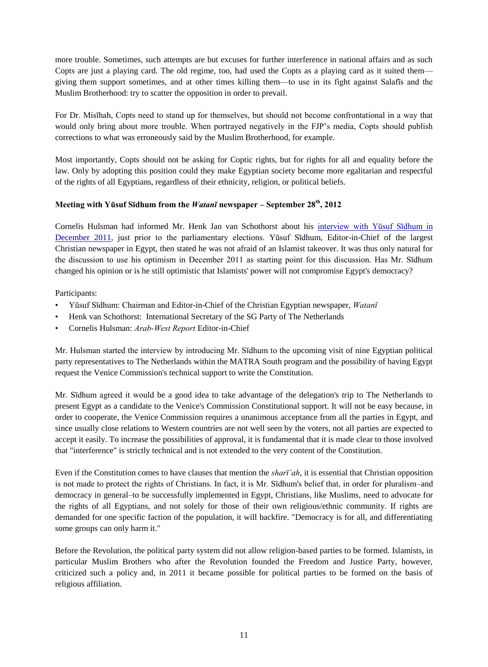more trouble. Sometimes, such attempts are but excuses for further interference in national affairs and as such Copts are just a playing card. The old regime, too, had used the Copts as a playing card as it suited them giving them support sometimes, and at other times killing them—to use in its fight against Salafīs and the Muslim Brotherhood: try to scatter the opposition in order to prevail.

For Dr. Misīhah, Copts need to stand up for themselves, but should not become confrontational in a way that would only bring about more trouble. When portrayed negatively in the FJP's media, Copts should publish corrections to what was erroneously said by the Muslim Brotherhood, for example.

Most importantly, Copts should not be asking for Coptic rights, but for rights for all and equality before the law. Only by adopting this position could they make Egyptian society become more egalitarian and respectful of the rights of all Egyptians, regardless of their ethnicity, religion, or political beliefs.

# **Meeting with Yūsuf Sīdhum from the** *Watanī* **newspaper – September 28th, 2012**

Cornelis Hulsman had informed Mr. Henk Jan van Schothorst about his [interview with Yūsuf Sīdhum in](http://www.arabwestreport.info/year-2012/week-1/22-christian-leader-no-fear-islamist-landslide-egypt)  [December 2011,](http://www.arabwestreport.info/year-2012/week-1/22-christian-leader-no-fear-islamist-landslide-egypt) just prior to the parliamentary elections. Yūsuf Sīdhum, Editor-in-Chief of the largest Christian newspaper in Egypt, then stated he was not afraid of an Islamist takeover. It was thus only natural for the discussion to use his optimism in December 2011 as starting point for this discussion. Has Mr. Sīdhum changed his opinion or is he still optimistic that Islamists' power will not compromise Egypt's democracy?

Participants:

- Yūsuf Sīdhum: Chairman and Editor-in-Chief of the Christian Egyptian newspaper, *Watanī*
- Henk van Schothorst: International Secretary of the SG Party of The Netherlands
- Cornelis Hulsman: *Arab-West Report* Editor-in-Chief

Mr. Hulsman started the interview by introducing Mr. Sīdhum to the upcoming visit of nine Egyptian political party representatives to The Netherlands within the MATRA South program and the possibility of having Egypt request the Venice Commission's technical support to write the Constitution.

Mr. Sīdhum agreed it would be a good idea to take advantage of the delegation's trip to The Netherlands to present Egypt as a candidate to the Venice's Commission Constitutional support. It will not be easy because, in order to cooperate, the Venice Commission requires a unanimous acceptance from all the parties in Egypt, and since usually close relations to Western countries are not well seen by the voters, not all parties are expected to accept it easily. To increase the possibilities of approval, it is fundamental that it is made clear to those involved that "interference" is strictly technical and is not extended to the very content of the Constitution.

Even if the Constitution comes to have clauses that mention the *sharī'ah*, it is essential that Christian opposition is not made to protect the rights of Christians. In fact, it is Mr. Sīdhum's belief that, in order for pluralism–and democracy in general–to be successfully implemented in Egypt, Christians, like Muslims, need to advocate for the rights of all Egyptians, and not solely for those of their own religious/ethnic community. If rights are demanded for one specific faction of the population, it will backfire. "Democracy is for all, and differentiating some groups can only harm it."

Before the Revolution, the political party system did not allow religion-based parties to be formed. Islamists, in particular Muslim Brothers who after the Revolution founded the Freedom and Justice Party, however, criticized such a policy and, in 2011 it became possible for political parties to be formed on the basis of religious affiliation.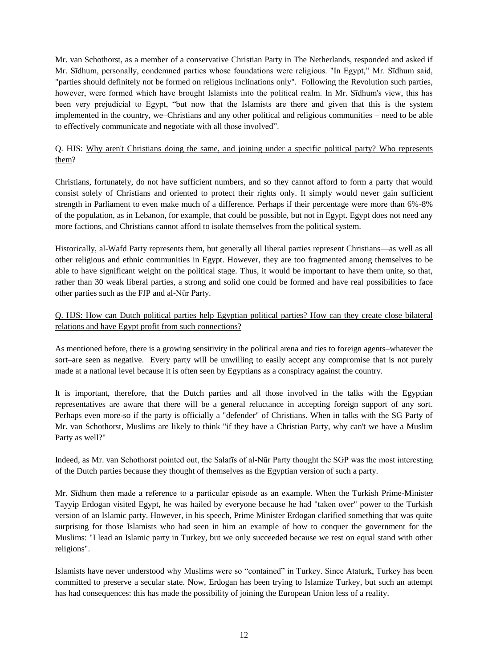Mr. van Schothorst, as a member of a conservative Christian Party in The Netherlands, responded and asked if Mr. Sīdhum, personally, condemned parties whose foundations were religious. "In Egypt," Mr. Sīdhum said, "parties should definitely not be formed on religious inclinations only". Following the Revolution such parties, however, were formed which have brought Islamists into the political realm. In Mr. Sīdhum's view, this has been very prejudicial to Egypt, "but now that the Islamists are there and given that this is the system implemented in the country, we–Christians and any other political and religious communities – need to be able to effectively communicate and negotiate with all those involved".

Q. HJS: Why aren't Christians doing the same, and joining under a specific political party? Who represents them?

Christians, fortunately, do not have sufficient numbers, and so they cannot afford to form a party that would consist solely of Christians and oriented to protect their rights only. It simply would never gain sufficient strength in Parliament to even make much of a difference. Perhaps if their percentage were more than 6%-8% of the population, as in Lebanon, for example, that could be possible, but not in Egypt. Egypt does not need any more factions, and Christians cannot afford to isolate themselves from the political system.

Historically, al-Wafd Party represents them, but generally all liberal parties represent Christians—as well as all other religious and ethnic communities in Egypt. However, they are too fragmented among themselves to be able to have significant weight on the political stage. Thus, it would be important to have them unite, so that, rather than 30 weak liberal parties, a strong and solid one could be formed and have real possibilities to face other parties such as the FJP and al-Nūr Party.

# Q. HJS: How can Dutch political parties help Egyptian political parties? How can they create close bilateral relations and have Egypt profit from such connections?

As mentioned before, there is a growing sensitivity in the political arena and ties to foreign agents–whatever the sort–are seen as negative. Every party will be unwilling to easily accept any compromise that is not purely made at a national level because it is often seen by Egyptians as a conspiracy against the country.

It is important, therefore, that the Dutch parties and all those involved in the talks with the Egyptian representatives are aware that there will be a general reluctance in accepting foreign support of any sort. Perhaps even more-so if the party is officially a "defender" of Christians. When in talks with the SG Party of Mr. van Schothorst, Muslims are likely to think "if they have a Christian Party, why can't we have a Muslim Party as well?"

Indeed, as Mr. van Schothorst pointed out, the Salafīs of al-Nūr Party thought the SGP was the most interesting of the Dutch parties because they thought of themselves as the Egyptian version of such a party.

Mr. Sīdhum then made a reference to a particular episode as an example. When the Turkish Prime-Minister Tayyip Erdogan visited Egypt, he was hailed by everyone because he had "taken over" power to the Turkish version of an Islamic party. However, in his speech, Prime Minister Erdogan clarified something that was quite surprising for those Islamists who had seen in him an example of how to conquer the government for the Muslims: "I lead an Islamic party in Turkey, but we only succeeded because we rest on equal stand with other religions".

Islamists have never understood why Muslims were so "contained" in Turkey. Since Ataturk, Turkey has been committed to preserve a secular state. Now, Erdogan has been trying to Islamize Turkey, but such an attempt has had consequences: this has made the possibility of joining the European Union less of a reality.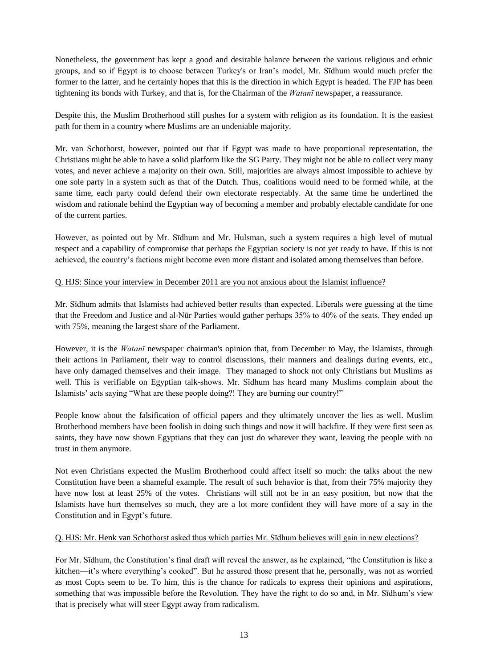Nonetheless, the government has kept a good and desirable balance between the various religious and ethnic groups, and so if Egypt is to choose between Turkey's or Iran's model, Mr. Sīdhum would much prefer the former to the latter, and he certainly hopes that this is the direction in which Egypt is headed. The FJP has been tightening its bonds with Turkey, and that is, for the Chairman of the *Watanī* newspaper, a reassurance.

Despite this, the Muslim Brotherhood still pushes for a system with religion as its foundation. It is the easiest path for them in a country where Muslims are an undeniable majority.

Mr. van Schothorst, however, pointed out that if Egypt was made to have proportional representation, the Christians might be able to have a solid platform like the SG Party. They might not be able to collect very many votes, and never achieve a majority on their own. Still, majorities are always almost impossible to achieve by one sole party in a system such as that of the Dutch. Thus, coalitions would need to be formed while, at the same time, each party could defend their own electorate respectably. At the same time he underlined the wisdom and rationale behind the Egyptian way of becoming a member and probably electable candidate for one of the current parties.

However, as pointed out by Mr. Sīdhum and Mr. Hulsman, such a system requires a high level of mutual respect and a capability of compromise that perhaps the Egyptian society is not yet ready to have. If this is not achieved, the country's factions might become even more distant and isolated among themselves than before.

### Q. HJS: Since your interview in December 2011 are you not anxious about the Islamist influence?

Mr. Sīdhum admits that Islamists had achieved better results than expected. Liberals were guessing at the time that the Freedom and Justice and al-Nūr Parties would gather perhaps 35% to 40% of the seats. They ended up with 75%, meaning the largest share of the Parliament.

However, it is the *Watanī* newspaper chairman's opinion that, from December to May, the Islamists, through their actions in Parliament, their way to control discussions, their manners and dealings during events, etc., have only damaged themselves and their image. They managed to shock not only Christians but Muslims as well. This is verifiable on Egyptian talk-shows. Mr. Sīdhum has heard many Muslims complain about the Islamists' acts saying "What are these people doing?! They are burning our country!"

People know about the falsification of official papers and they ultimately uncover the lies as well. Muslim Brotherhood members have been foolish in doing such things and now it will backfire. If they were first seen as saints, they have now shown Egyptians that they can just do whatever they want, leaving the people with no trust in them anymore.

Not even Christians expected the Muslim Brotherhood could affect itself so much: the talks about the new Constitution have been a shameful example. The result of such behavior is that, from their 75% majority they have now lost at least 25% of the votes. Christians will still not be in an easy position, but now that the Islamists have hurt themselves so much, they are a lot more confident they will have more of a say in the Constitution and in Egypt's future.

## Q. HJS: Mr. Henk van Schothorst asked thus which parties Mr. Sīdhum believes will gain in new elections?

For Mr. Sīdhum, the Constitution's final draft will reveal the answer, as he explained, "the Constitution is like a kitchen—it's where everything's cooked". But he assured those present that he, personally, was not as worried as most Copts seem to be. To him, this is the chance for radicals to express their opinions and aspirations, something that was impossible before the Revolution. They have the right to do so and, in Mr. Sīdhum's view that is precisely what will steer Egypt away from radicalism.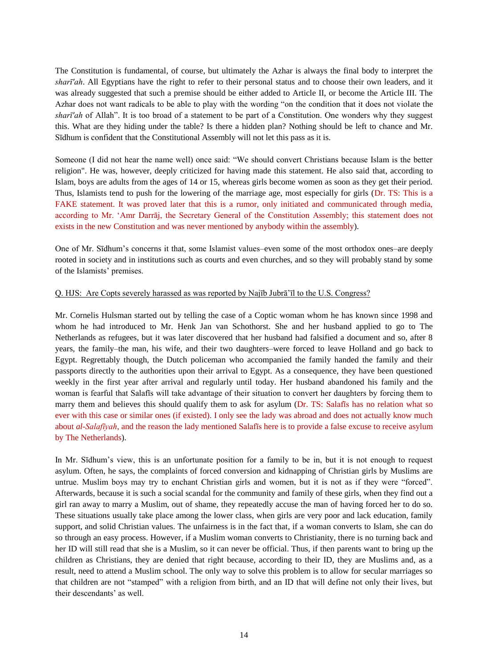The Constitution is fundamental, of course, but ultimately the Azhar is always the final body to interpret the *sharī'ah*. All Egyptians have the right to refer to their personal status and to choose their own leaders, and it was already suggested that such a premise should be either added to Article II, or become the Article III. The Azhar does not want radicals to be able to play with the wording "on the condition that it does not violate the *sharī'ah* of Allah". It is too broad of a statement to be part of a Constitution. One wonders why they suggest this. What are they hiding under the table? Is there a hidden plan? Nothing should be left to chance and Mr. Sīdhum is confident that the Constitutional Assembly will not let this pass as it is.

Someone (I did not hear the name well) once said: "We should convert Christians because Islam is the better religion". He was, however, deeply criticized for having made this statement. He also said that, according to Islam, boys are adults from the ages of 14 or 15, whereas girls become women as soon as they get their period. Thus, Islamists tend to push for the lowering of the marriage age, most especially for girls (Dr. TS: This is a FAKE statement. It was proved later that this is a rumor, only initiated and communicated through media, according to Mr. 'Amr Darrāj, the Secretary General of the Constitution Assembly; this statement does not exists in the new Constitution and was never mentioned by anybody within the assembly).

One of Mr. Sīdhum's concerns it that, some Islamist values–even some of the most orthodox ones–are deeply rooted in society and in institutions such as courts and even churches, and so they will probably stand by some of the Islamists' premises.

#### Q. HJS: Are Copts severely harassed as was reported by Najīb Jubrā'īl to the U.S. Congress?

Mr. Cornelis Hulsman started out by telling the case of a Coptic woman whom he has known since 1998 and whom he had introduced to Mr. Henk Jan van Schothorst. She and her husband applied to go to The Netherlands as refugees, but it was later discovered that her husband had falsified a document and so, after 8 years, the family–the man, his wife, and their two daughters–were forced to leave Holland and go back to Egypt. Regrettably though, the Dutch policeman who accompanied the family handed the family and their passports directly to the authorities upon their arrival to Egypt. As a consequence, they have been questioned weekly in the first year after arrival and regularly until today. Her husband abandoned his family and the woman is fearful that Salafīs will take advantage of their situation to convert her daughters by forcing them to marry them and believes this should qualify them to ask for asylum (Dr. TS: Salafīs has no relation what so ever with this case or similar ones (if existed). I only see the lady was abroad and does not actually know much about *al-Salafīyah*, and the reason the lady mentioned Salafīs here is to provide a false excuse to receive asylum by The Netherlands).

In Mr. Sīdhum's view, this is an unfortunate position for a family to be in, but it is not enough to request asylum. Often, he says, the complaints of forced conversion and kidnapping of Christian girls by Muslims are untrue. Muslim boys may try to enchant Christian girls and women, but it is not as if they were "forced". Afterwards, because it is such a social scandal for the community and family of these girls, when they find out a girl ran away to marry a Muslim, out of shame, they repeatedly accuse the man of having forced her to do so. These situations usually take place among the lower class, when girls are very poor and lack education, family support, and solid Christian values. The unfairness is in the fact that, if a woman converts to Islam, she can do so through an easy process. However, if a Muslim woman converts to Christianity, there is no turning back and her ID will still read that she is a Muslim, so it can never be official. Thus, if then parents want to bring up the children as Christians, they are denied that right because, according to their ID, they are Muslims and, as a result, need to attend a Muslim school. The only way to solve this problem is to allow for secular marriages so that children are not "stamped" with a religion from birth, and an ID that will define not only their lives, but their descendants' as well.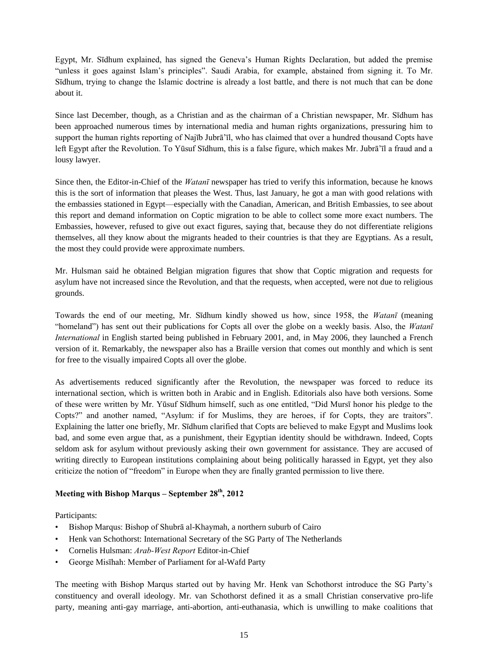Egypt, Mr. Sīdhum explained, has signed the Geneva's Human Rights Declaration, but added the premise "unless it goes against Islam's principles". Saudi Arabia, for example, abstained from signing it. To Mr. Sīdhum, trying to change the Islamic doctrine is already a lost battle, and there is not much that can be done about it.

Since last December, though, as a Christian and as the chairman of a Christian newspaper, Mr. Sīdhum has been approached numerous times by international media and human rights organizations, pressuring him to support the human rights reporting of Najīb Jubrā'īl, who has claimed that over a hundred thousand Copts have left Egypt after the Revolution. To Yūsuf Sīdhum, this is a false figure, which makes Mr. Jubrā'īl a fraud and a lousy lawyer.

Since then, the Editor-in-Chief of the *Watanī* newspaper has tried to verify this information, because he knows this is the sort of information that pleases the West. Thus, last January, he got a man with good relations with the embassies stationed in Egypt—especially with the Canadian, American, and British Embassies, to see about this report and demand information on Coptic migration to be able to collect some more exact numbers. The Embassies, however, refused to give out exact figures, saying that, because they do not differentiate religions themselves, all they know about the migrants headed to their countries is that they are Egyptians. As a result, the most they could provide were approximate numbers.

Mr. Hulsman said he obtained Belgian migration figures that show that Coptic migration and requests for asylum have not increased since the Revolution, and that the requests, when accepted, were not due to religious grounds.

Towards the end of our meeting, Mr. Sīdhum kindly showed us how, since 1958, the *Watanī* (meaning "homeland") has sent out their publications for Copts all over the globe on a weekly basis. Also, the *Watanī International* in English started being published in February 2001, and, in May 2006, they launched a French version of it. Remarkably, the newspaper also has a Braille version that comes out monthly and which is sent for free to the visually impaired Copts all over the globe.

As advertisements reduced significantly after the Revolution, the newspaper was forced to reduce its international section, which is written both in Arabic and in English. Editorials also have both versions. Some of these were written by Mr. Yūsuf Sīdhum himself, such as one entitled, "Did Mursī honor his pledge to the Copts?" and another named, "Asylum: if for Muslims, they are heroes, if for Copts, they are traitors". Explaining the latter one briefly, Mr. Sīdhum clarified that Copts are believed to make Egypt and Muslims look bad, and some even argue that, as a punishment, their Egyptian identity should be withdrawn. Indeed, Copts seldom ask for asylum without previously asking their own government for assistance. They are accused of writing directly to European institutions complaining about being politically harassed in Egypt, yet they also criticize the notion of "freedom" in Europe when they are finally granted permission to live there.

# **Meeting with Bishop Marqus – September 28th, 2012**

Participants:

- Bishop Marqus: Bishop of Shubrā al-Khaymah, a northern suburb of Cairo
- Henk van Schothorst: International Secretary of the SG Party of The Netherlands
- Cornelis Hulsman: *Arab-West Report* Editor-in-Chief
- George Misīhah: Member of Parliament for al-Wafd Party

The meeting with Bishop Marqus started out by having Mr. Henk van Schothorst introduce the SG Party's constituency and overall ideology. Mr. van Schothorst defined it as a small Christian conservative pro-life party, meaning anti-gay marriage, anti-abortion, anti-euthanasia, which is unwilling to make coalitions that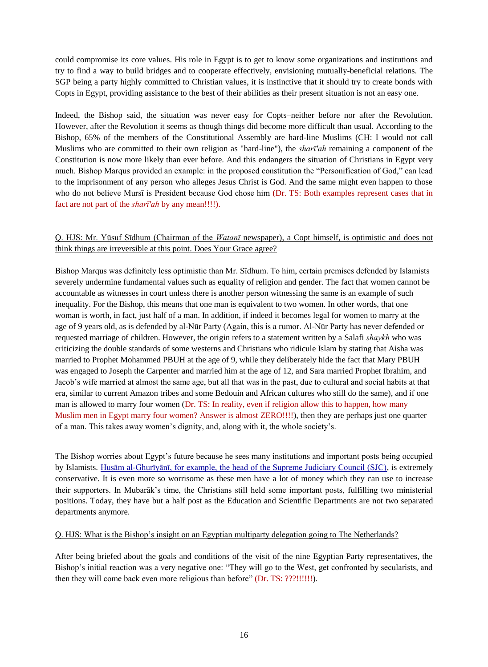could compromise its core values. His role in Egypt is to get to know some organizations and institutions and try to find a way to build bridges and to cooperate effectively, envisioning mutually-beneficial relations. The SGP being a party highly committed to Christian values, it is instinctive that it should try to create bonds with Copts in Egypt, providing assistance to the best of their abilities as their present situation is not an easy one.

Indeed, the Bishop said, the situation was never easy for Copts–neither before nor after the Revolution. However, after the Revolution it seems as though things did become more difficult than usual. According to the Bishop, 65% of the members of the Constitutional Assembly are hard-line Muslims (CH: I would not call Muslims who are committed to their own religion as "hard-line"), the *sharī'ah* remaining a component of the Constitution is now more likely than ever before. And this endangers the situation of Christians in Egypt very much. Bishop Marqus provided an example: in the proposed constitution the "Personification of God," can lead to the imprisonment of any person who alleges Jesus Christ is God. And the same might even happen to those who do not believe Mursī is President because God chose him (Dr. TS: Both examples represent cases that in fact are not part of the *sharī'ah* by any mean!!!!).

## Q. HJS: Mr. Yūsuf Sīdhum (Chairman of the *Watanī* newspaper), a Copt himself, is optimistic and does not think things are irreversible at this point. Does Your Grace agree?

Bishop Marqus was definitely less optimistic than Mr. Sīdhum. To him, certain premises defended by Islamists severely undermine fundamental values such as equality of religion and gender. The fact that women cannot be accountable as witnesses in court unless there is another person witnessing the same is an example of such inequality. For the Bishop, this means that one man is equivalent to two women. In other words, that one woman is worth, in fact, just half of a man. In addition, if indeed it becomes legal for women to marry at the age of 9 years old, as is defended by al-Nūr Party (Again, this is a rumor. Al-Nūr Party has never defended or requested marriage of children. However, the origin refers to a statement written by a Salafi *shaykh* who was criticizing the double standards of some westerns and Christians who ridicule Islam by stating that Aisha was married to Prophet Mohammed PBUH at the age of 9, while they deliberately hide the fact that Mary PBUH was engaged to Joseph the Carpenter and married him at the age of 12, and Sara married Prophet Ibrahim, and Jacob's wife married at almost the same age, but all that was in the past, due to cultural and social habits at that era, similar to current Amazon tribes and some Bedouin and African cultures who still do the same), and if one man is allowed to marry four women (Dr. TS: In reality, even if religion allow this to happen, how many Muslim men in Egypt marry four women? Answer is almost ZERO!!!!), then they are perhaps just one quarter of a man. This takes away women's dignity, and, along with it, the whole society's.

The Bishop worries about Egypt's future because he sees many institutions and important posts being occupied by Islamists. [Husām](http://www.oananews.org/content/news/general/hh-emir-meets-head-egypts-sjc) [al-Ghurīyānī, for example, the head of the Supreme Judiciary Council \(SJC\),](http://www.oananews.org/content/news/general/hh-emir-meets-head-egypts-sjc) is extremely conservative. It is even more so worrisome as these men have a lot of money which they can use to increase their supporters. In Mubarāk's time, the Christians still held some important posts, fulfilling two ministerial positions. Today, they have but a half post as the Education and Scientific Departments are not two separated departments anymore.

#### Q. HJS: What is the Bishop's insight on an Egyptian multiparty delegation going to The Netherlands?

After being briefed about the goals and conditions of the visit of the nine Egyptian Party representatives, the Bishop's initial reaction was a very negative one: "They will go to the West, get confronted by secularists, and then they will come back even more religious than before" (Dr. TS: ???!!!!!!).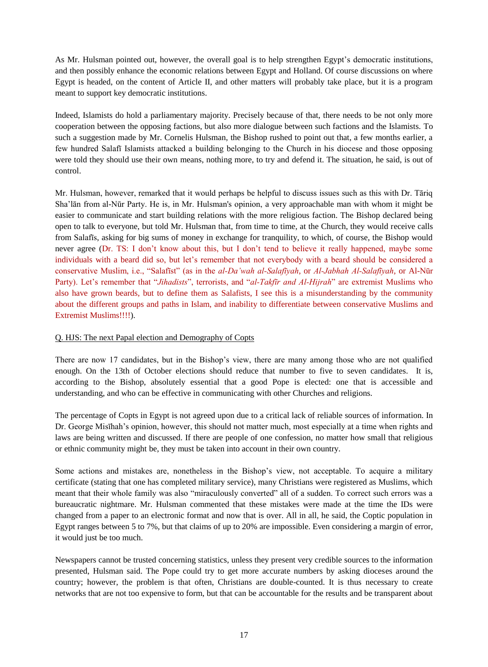As Mr. Hulsman pointed out, however, the overall goal is to help strengthen Egypt's democratic institutions, and then possibly enhance the economic relations between Egypt and Holland. Of course discussions on where Egypt is headed, on the content of Article II, and other matters will probably take place, but it is a program meant to support key democratic institutions.

Indeed, Islamists do hold a parliamentary majority. Precisely because of that, there needs to be not only more cooperation between the opposing factions, but also more dialogue between such factions and the Islamists. To such a suggestion made by Mr. Cornelis Hulsman, the Bishop rushed to point out that, a few months earlier, a few hundred Salafī Islamists attacked a building belonging to the Church in his diocese and those opposing were told they should use their own means, nothing more, to try and defend it. The situation, he said, is out of control.

Mr. Hulsman, however, remarked that it would perhaps be helpful to discuss issues such as this with Dr. Tāriq Sha'lān from al-Nūr Party. He is, in Mr. Hulsman's opinion, a very approachable man with whom it might be easier to communicate and start building relations with the more religious faction. The Bishop declared being open to talk to everyone, but told Mr. Hulsman that, from time to time, at the Church, they would receive calls from Salafīs, asking for big sums of money in exchange for tranquility, to which, of course, the Bishop would never agree (Dr. TS: I don't know about this, but I don't tend to believe it really happened, maybe some individuals with a beard did so, but let's remember that not everybody with a beard should be considered a conservative Muslim, i.e., "Salafīst" (as in the *al-Da'wah al-Salafīyah*, or *Al-Jabhah Al-Salafīyah*, or Al-Nūr Party). Let's remember that "*Jihadists*", terrorists, and "*al-Takfīr and Al-Hijrah*" are extremist Muslims who also have grown beards, but to define them as Salafists, I see this is a misunderstanding by the community about the different groups and paths in Islam, and inability to differentiate between conservative Muslims and Extremist Muslims!!!!).

#### Q. HJS: The next Papal election and Demography of Copts

There are now 17 candidates, but in the Bishop's view, there are many among those who are not qualified enough. On the 13th of October elections should reduce that number to five to seven candidates. It is, according to the Bishop, absolutely essential that a good Pope is elected: one that is accessible and understanding, and who can be effective in communicating with other Churches and religions.

The percentage of Copts in Egypt is not agreed upon due to a critical lack of reliable sources of information. In Dr. George Misīhah's opinion, however, this should not matter much, most especially at a time when rights and laws are being written and discussed. If there are people of one confession, no matter how small that religious or ethnic community might be, they must be taken into account in their own country.

Some actions and mistakes are, nonetheless in the Bishop's view, not acceptable. To acquire a military certificate (stating that one has completed military service), many Christians were registered as Muslims, which meant that their whole family was also "miraculously converted" all of a sudden. To correct such errors was a bureaucratic nightmare. Mr. Hulsman commented that these mistakes were made at the time the IDs were changed from a paper to an electronic format and now that is over. All in all, he said, the Coptic population in Egypt ranges between 5 to 7%, but that claims of up to 20% are impossible. Even considering a margin of error, it would just be too much.

Newspapers cannot be trusted concerning statistics, unless they present very credible sources to the information presented, Hulsman said. The Pope could try to get more accurate numbers by asking dioceses around the country; however, the problem is that often, Christians are double-counted. It is thus necessary to create networks that are not too expensive to form, but that can be accountable for the results and be transparent about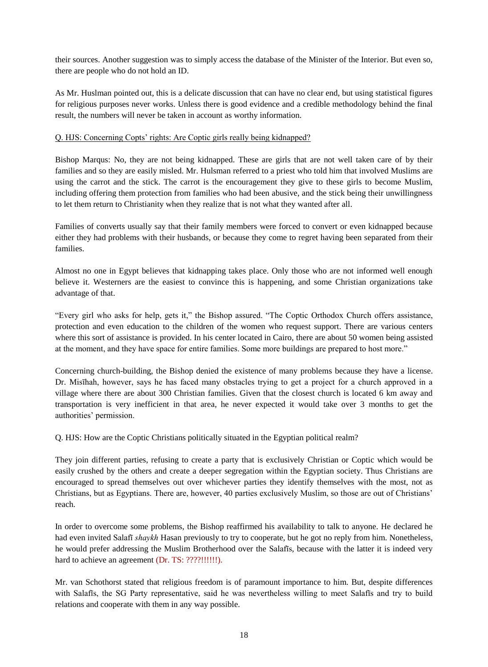their sources. Another suggestion was to simply access the database of the Minister of the Interior. But even so, there are people who do not hold an ID.

As Mr. Huslman pointed out, this is a delicate discussion that can have no clear end, but using statistical figures for religious purposes never works. Unless there is good evidence and a credible methodology behind the final result, the numbers will never be taken in account as worthy information.

#### Q. HJS: Concerning Copts' rights: Are Coptic girls really being kidnapped?

Bishop Marqus: No, they are not being kidnapped. These are girls that are not well taken care of by their families and so they are easily misled. Mr. Hulsman referred to a priest who told him that involved Muslims are using the carrot and the stick. The carrot is the encouragement they give to these girls to become Muslim, including offering them protection from families who had been abusive, and the stick being their unwillingness to let them return to Christianity when they realize that is not what they wanted after all.

Families of converts usually say that their family members were forced to convert or even kidnapped because either they had problems with their husbands, or because they come to regret having been separated from their families.

Almost no one in Egypt believes that kidnapping takes place. Only those who are not informed well enough believe it. Westerners are the easiest to convince this is happening, and some Christian organizations take advantage of that.

"Every girl who asks for help, gets it," the Bishop assured. "The Coptic Orthodox Church offers assistance, protection and even education to the children of the women who request support. There are various centers where this sort of assistance is provided. In his center located in Cairo, there are about 50 women being assisted at the moment, and they have space for entire families. Some more buildings are prepared to host more."

Concerning church-building, the Bishop denied the existence of many problems because they have a license. Dr. Misīhah, however, says he has faced many obstacles trying to get a project for a church approved in a village where there are about 300 Christian families. Given that the closest church is located 6 km away and transportation is very inefficient in that area, he never expected it would take over 3 months to get the authorities' permission.

Q. HJS: How are the Coptic Christians politically situated in the Egyptian political realm?

They join different parties, refusing to create a party that is exclusively Christian or Coptic which would be easily crushed by the others and create a deeper segregation within the Egyptian society. Thus Christians are encouraged to spread themselves out over whichever parties they identify themselves with the most, not as Christians, but as Egyptians. There are, however, 40 parties exclusively Muslim, so those are out of Christians' reach.

In order to overcome some problems, the Bishop reaffirmed his availability to talk to anyone. He declared he had even invited Salafī *shaykh* Hasan previously to try to cooperate, but he got no reply from him. Nonetheless, he would prefer addressing the Muslim Brotherhood over the Salafīs, because with the latter it is indeed very hard to achieve an agreement (Dr. TS: ????!!!!!!).

Mr. van Schothorst stated that religious freedom is of paramount importance to him. But, despite differences with Salafīs, the SG Party representative, said he was nevertheless willing to meet Salafīs and try to build relations and cooperate with them in any way possible.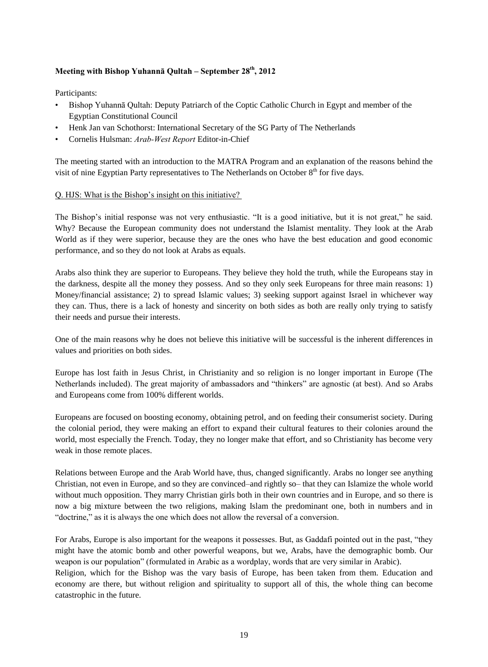### **Meeting with Bishop Yuhannā Qultah – September 28th, 2012**

Participants:

- Bishop Yuhannā Qultah: Deputy Patriarch of the Coptic Catholic Church in Egypt and member of the Egyptian Constitutional Council
- Henk Jan van Schothorst: International Secretary of the SG Party of The Netherlands
- Cornelis Hulsman: *Arab-West Report* Editor-in-Chief

The meeting started with an introduction to the MATRA Program and an explanation of the reasons behind the visit of nine Egyptian Party representatives to The Netherlands on October  $8<sup>th</sup>$  for five days.

#### Q. HJS: What is the Bishop's insight on this initiative?

The Bishop's initial response was not very enthusiastic. "It is a good initiative, but it is not great," he said. Why? Because the European community does not understand the Islamist mentality. They look at the Arab World as if they were superior, because they are the ones who have the best education and good economic performance, and so they do not look at Arabs as equals.

Arabs also think they are superior to Europeans. They believe they hold the truth, while the Europeans stay in the darkness, despite all the money they possess. And so they only seek Europeans for three main reasons: 1) Money/financial assistance; 2) to spread Islamic values; 3) seeking support against Israel in whichever way they can. Thus, there is a lack of honesty and sincerity on both sides as both are really only trying to satisfy their needs and pursue their interests.

One of the main reasons why he does not believe this initiative will be successful is the inherent differences in values and priorities on both sides.

Europe has lost faith in Jesus Christ, in Christianity and so religion is no longer important in Europe (The Netherlands included). The great majority of ambassadors and "thinkers" are agnostic (at best). And so Arabs and Europeans come from 100% different worlds.

Europeans are focused on boosting economy, obtaining petrol, and on feeding their consumerist society. During the colonial period, they were making an effort to expand their cultural features to their colonies around the world, most especially the French. Today, they no longer make that effort, and so Christianity has become very weak in those remote places.

Relations between Europe and the Arab World have, thus, changed significantly. Arabs no longer see anything Christian, not even in Europe, and so they are convinced–and rightly so– that they can Islamize the whole world without much opposition. They marry Christian girls both in their own countries and in Europe, and so there is now a big mixture between the two religions, making Islam the predominant one, both in numbers and in "doctrine," as it is always the one which does not allow the reversal of a conversion.

For Arabs, Europe is also important for the weapons it possesses. But, as Gaddafi pointed out in the past, "they might have the atomic bomb and other powerful weapons, but we, Arabs, have the demographic bomb. Our weapon is our population" (formulated in Arabic as a wordplay, words that are very similar in Arabic).

Religion, which for the Bishop was the vary basis of Europe, has been taken from them. Education and economy are there, but without religion and spirituality to support all of this, the whole thing can become catastrophic in the future.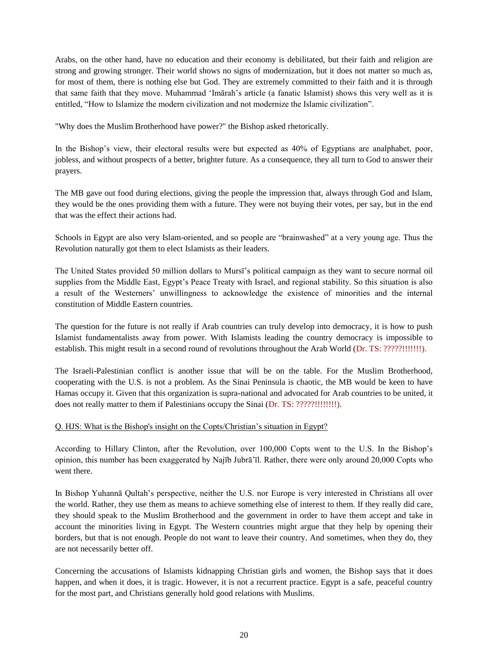Arabs, on the other hand, have no education and their economy is debilitated, but their faith and religion are strong and growing stronger. Their world shows no signs of modernization, but it does not matter so much as, for most of them, there is nothing else but God. They are extremely committed to their faith and it is through that same faith that they move. Muhammad 'Imārah's article (a fanatic Islamist) shows this very well as it is entitled, "How to Islamize the modern civilization and not modernize the Islamic civilization".

"Why does the Muslim Brotherhood have power?" the Bishop asked rhetorically.

In the Bishop's view, their electoral results were but expected as 40% of Egyptians are analphabet, poor, jobless, and without prospects of a better, brighter future. As a consequence, they all turn to God to answer their prayers.

The MB gave out food during elections, giving the people the impression that, always through God and Islam, they would be the ones providing them with a future. They were not buying their votes, per say, but in the end that was the effect their actions had.

Schools in Egypt are also very Islam-oriented, and so people are "brainwashed" at a very young age. Thus the Revolution naturally got them to elect Islamists as their leaders.

The United States provided 50 million dollars to Mursī's political campaign as they want to secure normal oil supplies from the Middle East, Egypt's Peace Treaty with Israel, and regional stability. So this situation is also a result of the Westerners' unwillingness to acknowledge the existence of minorities and the internal constitution of Middle Eastern countries.

The question for the future is not really if Arab countries can truly develop into democracy, it is how to push Islamist fundamentalists away from power. With Islamists leading the country democracy is impossible to establish. This might result in a second round of revolutions throughout the Arab World (Dr. TS: ?????!!!!!!!).

The Israeli-Palestinian conflict is another issue that will be on the table. For the Muslim Brotherhood, cooperating with the U.S. is not a problem. As the Sinai Peninsula is chaotic, the MB would be keen to have Hamas occupy it. Given that this organization is supra-national and advocated for Arab countries to be united, it does not really matter to them if Palestinians occupy the Sinai (Dr. TS: ?????!!!!!!!!!).

## Q. HJS: What is the Bishop's insight on the Copts/Christian's situation in Egypt?

According to Hillary Clinton, after the Revolution, over 100,000 Copts went to the U.S. In the Bishop's opinion, this number has been exaggerated by Najīb Jubrā'īl. Rather, there were only around 20,000 Copts who went there.

In Bishop Yuhannā Qultah's perspective, neither the U.S. nor Europe is very interested in Christians all over the world. Rather, they use them as means to achieve something else of interest to them. If they really did care, they should speak to the Muslim Brotherhood and the government in order to have them accept and take in account the minorities living in Egypt. The Western countries might argue that they help by opening their borders, but that is not enough. People do not want to leave their country. And sometimes, when they do, they are not necessarily better off.

Concerning the accusations of Islamists kidnapping Christian girls and women, the Bishop says that it does happen, and when it does, it is tragic. However, it is not a recurrent practice. Egypt is a safe, peaceful country for the most part, and Christians generally hold good relations with Muslims.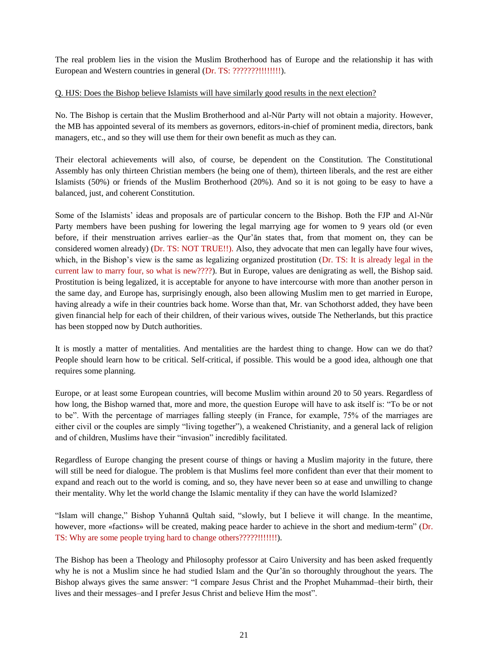The real problem lies in the vision the Muslim Brotherhood has of Europe and the relationship it has with European and Western countries in general (Dr. TS: ????????!!!!!!!!!).

Q. HJS: Does the Bishop believe Islamists will have similarly good results in the next election?

No. The Bishop is certain that the Muslim Brotherhood and al-Nūr Party will not obtain a majority. However, the MB has appointed several of its members as governors, editors-in-chief of prominent media, directors, bank managers, etc., and so they will use them for their own benefit as much as they can.

Their electoral achievements will also, of course, be dependent on the Constitution. The Constitutional Assembly has only thirteen Christian members (he being one of them), thirteen liberals, and the rest are either Islamists (50%) or friends of the Muslim Brotherhood (20%). And so it is not going to be easy to have a balanced, just, and coherent Constitution.

Some of the Islamists' ideas and proposals are of particular concern to the Bishop. Both the FJP and Al-Nūr Party members have been pushing for lowering the legal marrying age for women to 9 years old (or even before, if their menstruation arrives earlier–as the Qur'ān states that, from that moment on, they can be considered women already) (Dr. TS: NOT TRUE!!). Also, they advocate that men can legally have four wives, which, in the Bishop's view is the same as legalizing organized prostitution (Dr. TS: It is already legal in the current law to marry four, so what is new????). But in Europe, values are denigrating as well, the Bishop said. Prostitution is being legalized, it is acceptable for anyone to have intercourse with more than another person in the same day, and Europe has, surprisingly enough, also been allowing Muslim men to get married in Europe, having already a wife in their countries back home. Worse than that, Mr. van Schothorst added, they have been given financial help for each of their children, of their various wives, outside The Netherlands, but this practice has been stopped now by Dutch authorities.

It is mostly a matter of mentalities. And mentalities are the hardest thing to change. How can we do that? People should learn how to be critical. Self-critical, if possible. This would be a good idea, although one that requires some planning.

Europe, or at least some European countries, will become Muslim within around 20 to 50 years. Regardless of how long, the Bishop warned that, more and more, the question Europe will have to ask itself is: "To be or not to be". With the percentage of marriages falling steeply (in France, for example, 75% of the marriages are either civil or the couples are simply "living together"), a weakened Christianity, and a general lack of religion and of children, Muslims have their "invasion" incredibly facilitated.

Regardless of Europe changing the present course of things or having a Muslim majority in the future, there will still be need for dialogue. The problem is that Muslims feel more confident than ever that their moment to expand and reach out to the world is coming, and so, they have never been so at ease and unwilling to change their mentality. Why let the world change the Islamic mentality if they can have the world Islamized?

"Islam will change," Bishop Yuhannā Qultah said, "slowly, but I believe it will change. In the meantime, however, more «factions» will be created, making peace harder to achieve in the short and medium-term" (Dr. TS: Why are some people trying hard to change others?????!!!!!!!).

The Bishop has been a Theology and Philosophy professor at Cairo University and has been asked frequently why he is not a Muslim since he had studied Islam and the Qur'ān so thoroughly throughout the years. The Bishop always gives the same answer: "I compare Jesus Christ and the Prophet Muhammad–their birth, their lives and their messages–and I prefer Jesus Christ and believe Him the most".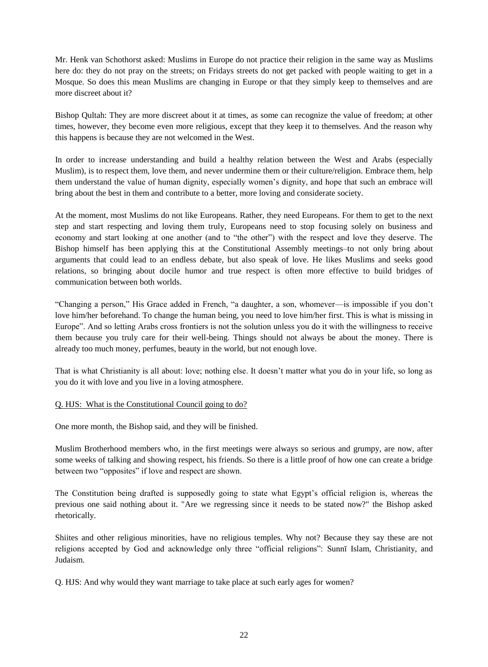Mr. Henk van Schothorst asked: Muslims in Europe do not practice their religion in the same way as Muslims here do: they do not pray on the streets; on Fridays streets do not get packed with people waiting to get in a Mosque. So does this mean Muslims are changing in Europe or that they simply keep to themselves and are more discreet about it?

Bishop Qultah: They are more discreet about it at times, as some can recognize the value of freedom; at other times, however, they become even more religious, except that they keep it to themselves. And the reason why this happens is because they are not welcomed in the West.

In order to increase understanding and build a healthy relation between the West and Arabs (especially Muslim), is to respect them, love them, and never undermine them or their culture/religion. Embrace them, help them understand the value of human dignity, especially women's dignity, and hope that such an embrace will bring about the best in them and contribute to a better, more loving and considerate society.

At the moment, most Muslims do not like Europeans. Rather, they need Europeans. For them to get to the next step and start respecting and loving them truly, Europeans need to stop focusing solely on business and economy and start looking at one another (and to "the other") with the respect and love they deserve. The Bishop himself has been applying this at the Constitutional Assembly meetings–to not only bring about arguments that could lead to an endless debate, but also speak of love. He likes Muslims and seeks good relations, so bringing about docile humor and true respect is often more effective to build bridges of communication between both worlds.

"Changing a person," His Grace added in French, "a daughter, a son, whomever—is impossible if you don't love him/her beforehand. To change the human being, you need to love him/her first. This is what is missing in Europe". And so letting Arabs cross frontiers is not the solution unless you do it with the willingness to receive them because you truly care for their well-being. Things should not always be about the money. There is already too much money, perfumes, beauty in the world, but not enough love.

That is what Christianity is all about: love; nothing else. It doesn't matter what you do in your life, so long as you do it with love and you live in a loving atmosphere.

#### Q. HJS: What is the Constitutional Council going to do?

One more month, the Bishop said, and they will be finished.

Muslim Brotherhood members who, in the first meetings were always so serious and grumpy, are now, after some weeks of talking and showing respect, his friends. So there is a little proof of how one can create a bridge between two "opposites" if love and respect are shown.

The Constitution being drafted is supposedly going to state what Egypt's official religion is, whereas the previous one said nothing about it. "Are we regressing since it needs to be stated now?" the Bishop asked rhetorically.

Shiites and other religious minorities, have no religious temples. Why not? Because they say these are not religions accepted by God and acknowledge only three "official religions": Sunnī Islam, Christianity, and Judaism.

Q. HJS: And why would they want marriage to take place at such early ages for women?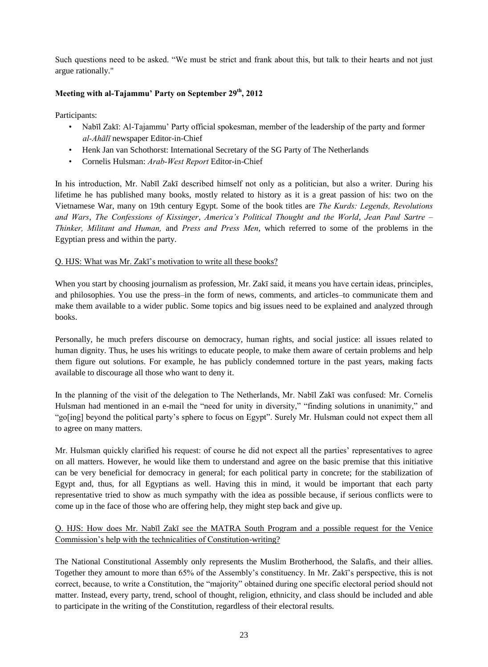Such questions need to be asked. "We must be strict and frank about this, but talk to their hearts and not just argue rationally."

# **Meeting with al-Tajammu' Party on September 29th, 2012**

Participants:

- Nabīl Zakī: Al-Tajammu' Party official spokesman, member of the leadership of the party and former *al-Ahālī* newspaper Editor-in-Chief
- Henk Jan van Schothorst: International Secretary of the SG Party of The Netherlands
- Cornelis Hulsman: *Arab-West Report* Editor-in-Chief

In his introduction, Mr. Nabīl Zakī described himself not only as a politician, but also a writer. During his lifetime he has published many books, mostly related to history as it is a great passion of his: two on the Vietnamese War, many on 19th century Egypt. Some of the book titles are *The Kurds: Legends, Revolutions and Wars*, *The Confessions of Kissinger*, *America's Political Thought and the World*, *Jean Paul Sartre – Thinker, Militant and Human,* and *Press and Press Men*, which referred to some of the problems in the Egyptian press and within the party.

## Q. HJS: What was Mr. Zakī's motivation to write all these books?

When you start by choosing journalism as profession, Mr. Zakī said, it means you have certain ideas, principles, and philosophies. You use the press–in the form of news, comments, and articles–to communicate them and make them available to a wider public. Some topics and big issues need to be explained and analyzed through books.

Personally, he much prefers discourse on democracy, human rights, and social justice: all issues related to human dignity. Thus, he uses his writings to educate people, to make them aware of certain problems and help them figure out solutions. For example, he has publicly condemned torture in the past years, making facts available to discourage all those who want to deny it.

In the planning of the visit of the delegation to The Netherlands, Mr. Nabīl Zakī was confused: Mr. Cornelis Hulsman had mentioned in an e-mail the "need for unity in diversity," "finding solutions in unanimity," and "go[ing] beyond the political party's sphere to focus on Egypt". Surely Mr. Hulsman could not expect them all to agree on many matters.

Mr. Hulsman quickly clarified his request: of course he did not expect all the parties' representatives to agree on all matters. However, he would like them to understand and agree on the basic premise that this initiative can be very beneficial for democracy in general; for each political party in concrete; for the stabilization of Egypt and, thus, for all Egyptians as well. Having this in mind, it would be important that each party representative tried to show as much sympathy with the idea as possible because, if serious conflicts were to come up in the face of those who are offering help, they might step back and give up.

# Q. HJS: How does Mr. Nabīl Zakī see the MATRA South Program and a possible request for the Venice Commission's help with the technicalities of Constitution-writing?

The National Constitutional Assembly only represents the Muslim Brotherhood, the Salafīs, and their allies. Together they amount to more than 65% of the Assembly's constituency. In Mr. Zakī's perspective, this is not correct, because, to write a Constitution, the "majority" obtained during one specific electoral period should not matter. Instead, every party, trend, school of thought, religion, ethnicity, and class should be included and able to participate in the writing of the Constitution, regardless of their electoral results.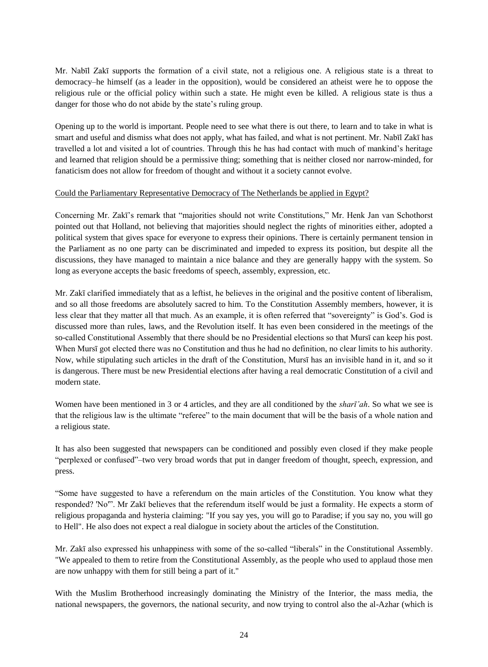Mr. Nabīl Zakī supports the formation of a civil state, not a religious one. A religious state is a threat to democracy–he himself (as a leader in the opposition), would be considered an atheist were he to oppose the religious rule or the official policy within such a state. He might even be killed. A religious state is thus a danger for those who do not abide by the state's ruling group.

Opening up to the world is important. People need to see what there is out there, to learn and to take in what is smart and useful and dismiss what does not apply, what has failed, and what is not pertinent. Mr. Nabīl Zakī has travelled a lot and visited a lot of countries. Through this he has had contact with much of mankind's heritage and learned that religion should be a permissive thing; something that is neither closed nor narrow-minded, for fanaticism does not allow for freedom of thought and without it a society cannot evolve.

### Could the Parliamentary Representative Democracy of The Netherlands be applied in Egypt?

Concerning Mr. Zakī's remark that "majorities should not write Constitutions," Mr. Henk Jan van Schothorst pointed out that Holland, not believing that majorities should neglect the rights of minorities either, adopted a political system that gives space for everyone to express their opinions. There is certainly permanent tension in the Parliament as no one party can be discriminated and impeded to express its position, but despite all the discussions, they have managed to maintain a nice balance and they are generally happy with the system. So long as everyone accepts the basic freedoms of speech, assembly, expression, etc.

Mr. Zakī clarified immediately that as a leftist, he believes in the original and the positive content of liberalism, and so all those freedoms are absolutely sacred to him. To the Constitution Assembly members, however, it is less clear that they matter all that much. As an example, it is often referred that "sovereignty" is God's. God is discussed more than rules, laws, and the Revolution itself. It has even been considered in the meetings of the so-called Constitutional Assembly that there should be no Presidential elections so that Mursī can keep his post. When Murs<del>t</del> got elected there was no Constitution and thus he had no definition, no clear limits to his authority. Now, while stipulating such articles in the draft of the Constitution, Mursī has an invisible hand in it, and so it is dangerous. There must be new Presidential elections after having a real democratic Constitution of a civil and modern state.

Women have been mentioned in 3 or 4 articles, and they are all conditioned by the *sharī'ah*. So what we see is that the religious law is the ultimate "referee" to the main document that will be the basis of a whole nation and a religious state.

It has also been suggested that newspapers can be conditioned and possibly even closed if they make people "perplexed or confused"–two very broad words that put in danger freedom of thought, speech, expression, and press.

"Some have suggested to have a referendum on the main articles of the Constitution. You know what they responded? 'No'". Mr Zakī believes that the referendum itself would be just a formality. He expects a storm of religious propaganda and hysteria claiming: "If you say yes, you will go to Paradise; if you say no, you will go to Hell". He also does not expect a real dialogue in society about the articles of the Constitution.

Mr. Zakī also expressed his unhappiness with some of the so-called "liberals" in the Constitutional Assembly. "We appealed to them to retire from the Constitutional Assembly, as the people who used to applaud those men are now unhappy with them for still being a part of it."

With the Muslim Brotherhood increasingly dominating the Ministry of the Interior, the mass media, the national newspapers, the governors, the national security, and now trying to control also the al-Azhar (which is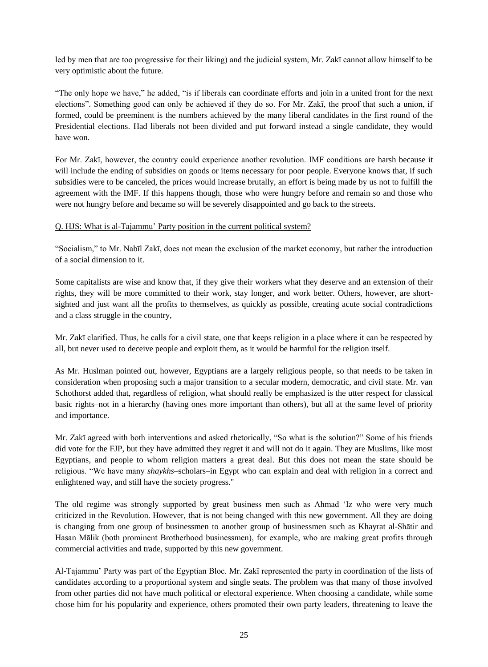led by men that are too progressive for their liking) and the judicial system, Mr. Zakī cannot allow himself to be very optimistic about the future.

"The only hope we have," he added, "is if liberals can coordinate efforts and join in a united front for the next elections". Something good can only be achieved if they do so. For Mr. Zakī, the proof that such a union, if formed, could be preeminent is the numbers achieved by the many liberal candidates in the first round of the Presidential elections. Had liberals not been divided and put forward instead a single candidate, they would have won.

For Mr. Zakī, however, the country could experience another revolution. IMF conditions are harsh because it will include the ending of subsidies on goods or items necessary for poor people. Everyone knows that, if such subsidies were to be canceled, the prices would increase brutally, an effort is being made by us not to fulfill the agreement with the IMF. If this happens though, those who were hungry before and remain so and those who were not hungry before and became so will be severely disappointed and go back to the streets.

### Q. HJS: What is al-Tajammu' Party position in the current political system?

"Socialism," to Mr. Nabīl Zakī, does not mean the exclusion of the market economy, but rather the introduction of a social dimension to it.

Some capitalists are wise and know that, if they give their workers what they deserve and an extension of their rights, they will be more committed to their work, stay longer, and work better. Others, however, are shortsighted and just want all the profits to themselves, as quickly as possible, creating acute social contradictions and a class struggle in the country,

Mr. Zakī clarified. Thus, he calls for a civil state, one that keeps religion in a place where it can be respected by all, but never used to deceive people and exploit them, as it would be harmful for the religion itself.

As Mr. Huslman pointed out, however, Egyptians are a largely religious people, so that needs to be taken in consideration when proposing such a major transition to a secular modern, democratic, and civil state. Mr. van Schothorst added that, regardless of religion, what should really be emphasized is the utter respect for classical basic rights–not in a hierarchy (having ones more important than others), but all at the same level of priority and importance.

Mr. Zakī agreed with both interventions and asked rhetorically, "So what is the solution?" Some of his friends did vote for the FJP, but they have admitted they regret it and will not do it again. They are Muslims, like most Egyptians, and people to whom religion matters a great deal. But this does not mean the state should be religious. "We have many *shaykhs*–scholars–in Egypt who can explain and deal with religion in a correct and enlightened way, and still have the society progress."

The old regime was strongly supported by great business men such as Ahmad 'Iz who were very much criticized in the Revolution. However, that is not being changed with this new government. All they are doing is changing from one group of businessmen to another group of businessmen such as Khayrat al-Shātir and Hasan Mālik (both prominent Brotherhood businessmen), for example, who are making great profits through commercial activities and trade, supported by this new government.

Al-Tajammu' Party was part of the Egyptian Bloc. Mr. Zakī represented the party in coordination of the lists of candidates according to a proportional system and single seats. The problem was that many of those involved from other parties did not have much political or electoral experience. When choosing a candidate, while some chose him for his popularity and experience, others promoted their own party leaders, threatening to leave the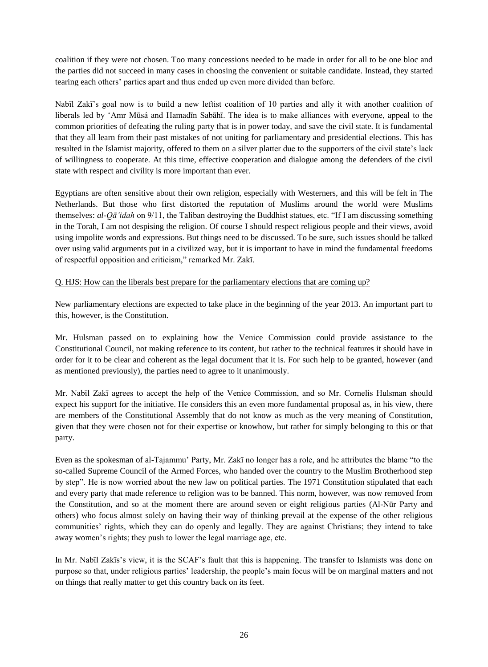coalition if they were not chosen. Too many concessions needed to be made in order for all to be one bloc and the parties did not succeed in many cases in choosing the convenient or suitable candidate. Instead, they started tearing each others' parties apart and thus ended up even more divided than before.

Nabīl Zakī's goal now is to build a new leftist coalition of 10 parties and ally it with another coalition of liberals led by 'Amr Mūsá and Hamadīn Sabāhī. The idea is to make alliances with everyone, appeal to the common priorities of defeating the ruling party that is in power today, and save the civil state. It is fundamental that they all learn from their past mistakes of not uniting for parliamentary and presidential elections. This has resulted in the Islamist majority, offered to them on a silver platter due to the supporters of the civil state's lack of willingness to cooperate. At this time, effective cooperation and dialogue among the defenders of the civil state with respect and civility is more important than ever.

Egyptians are often sensitive about their own religion, especially with Westerners, and this will be felt in The Netherlands. But those who first distorted the reputation of Muslims around the world were Muslims themselves: *al-Qā'idah* on 9/11, the Taliban destroying the Buddhist statues, etc. "If I am discussing something in the Torah, I am not despising the religion. Of course I should respect religious people and their views, avoid using impolite words and expressions. But things need to be discussed. To be sure, such issues should be talked over using valid arguments put in a civilized way, but it is important to have in mind the fundamental freedoms of respectful opposition and criticism," remarked Mr. Zakī.

### Q. HJS: How can the liberals best prepare for the parliamentary elections that are coming up?

New parliamentary elections are expected to take place in the beginning of the year 2013. An important part to this, however, is the Constitution.

Mr. Hulsman passed on to explaining how the Venice Commission could provide assistance to the Constitutional Council, not making reference to its content, but rather to the technical features it should have in order for it to be clear and coherent as the legal document that it is. For such help to be granted, however (and as mentioned previously), the parties need to agree to it unanimously.

Mr. Nabīl Zakī agrees to accept the help of the Venice Commission, and so Mr. Cornelis Hulsman should expect his support for the initiative. He considers this an even more fundamental proposal as, in his view, there are members of the Constitutional Assembly that do not know as much as the very meaning of Constitution, given that they were chosen not for their expertise or knowhow, but rather for simply belonging to this or that party.

Even as the spokesman of al-Tajammu' Party, Mr. Zakī no longer has a role, and he attributes the blame "to the so-called Supreme Council of the Armed Forces, who handed over the country to the Muslim Brotherhood step by step". He is now worried about the new law on political parties. The 1971 Constitution stipulated that each and every party that made reference to religion was to be banned. This norm, however, was now removed from the Constitution, and so at the moment there are around seven or eight religious parties (Al-Nūr Party and others) who focus almost solely on having their way of thinking prevail at the expense of the other religious communities' rights, which they can do openly and legally. They are against Christians; they intend to take away women's rights; they push to lower the legal marriage age, etc.

In Mr. Nabīl Zakīs's view, it is the SCAF's fault that this is happening. The transfer to Islamists was done on purpose so that, under religious parties' leadership, the people's main focus will be on marginal matters and not on things that really matter to get this country back on its feet.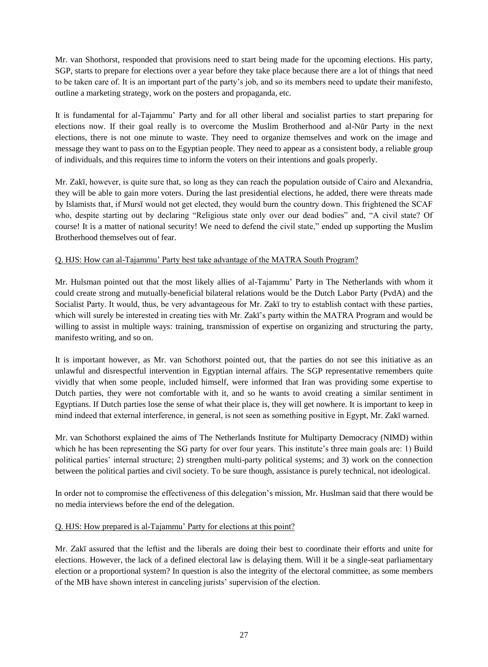Mr. van Shothorst, responded that provisions need to start being made for the upcoming elections. His party, SGP, starts to prepare for elections over a year before they take place because there are a lot of things that need to be taken care of. It is an important part of the party's job, and so its members need to update their manifesto, outline a marketing strategy, work on the posters and propaganda, etc.

It is fundamental for al-Tajammu' Party and for all other liberal and socialist parties to start preparing for elections now. If their goal really is to overcome the Muslim Brotherhood and al-Nūr Party in the next elections, there is not one minute to waste. They need to organize themselves and work on the image and message they want to pass on to the Egyptian people. They need to appear as a consistent body, a reliable group of individuals, and this requires time to inform the voters on their intentions and goals properly.

Mr. Zakī, however, is quite sure that, so long as they can reach the population outside of Cairo and Alexandria, they will be able to gain more voters. During the last presidential elections, he added, there were threats made by Islamists that, if Mursī would not get elected, they would burn the country down. This frightened the SCAF who, despite starting out by declaring "Religious state only over our dead bodies" and, "A civil state? Of course! It is a matter of national security! We need to defend the civil state," ended up supporting the Muslim Brotherhood themselves out of fear.

## Q. HJS: How can al-Tajammu' Party best take advantage of the MATRA South Program?

Mr. Hulsman pointed out that the most likely allies of al-Tajammu' Party in The Netherlands with whom it could create strong and mutually-beneficial bilateral relations would be the Dutch Labor Party (PvdA) and the Socialist Party. It would, thus, be very advantageous for Mr. Zakī to try to establish contact with these parties, which will surely be interested in creating ties with Mr. Zakī's party within the MATRA Program and would be willing to assist in multiple ways: training, transmission of expertise on organizing and structuring the party, manifesto writing, and so on.

It is important however, as Mr. van Schothorst pointed out, that the parties do not see this initiative as an unlawful and disrespectful intervention in Egyptian internal affairs. The SGP representative remembers quite vividly that when some people, included himself, were informed that Iran was providing some expertise to Dutch parties, they were not comfortable with it, and so he wants to avoid creating a similar sentiment in Egyptians. If Dutch parties lose the sense of what their place is, they will get nowhere. It is important to keep in mind indeed that external interference, in general, is not seen as something positive in Egypt, Mr. Zakī warned.

Mr. van Schothorst explained the aims of The Netherlands Institute for Multiparty Democracy (NIMD) within which he has been representing the SG party for over four years. This institute's three main goals are: 1) Build political parties' internal structure; 2) strengthen multi-party political systems; and 3) work on the connection between the political parties and civil society. To be sure though, assistance is purely technical, not ideological.

In order not to compromise the effectiveness of this delegation's mission, Mr. Huslman said that there would be no media interviews before the end of the delegation.

## Q. HJS: How prepared is al-Tajammu' Party for elections at this point?

Mr. Zakī assured that the leftist and the liberals are doing their best to coordinate their efforts and unite for elections. However, the lack of a defined electoral law is delaying them. Will it be a single-seat parliamentary election or a proportional system? In question is also the integrity of the electoral committee, as some members of the MB have shown interest in canceling jurists' supervision of the election.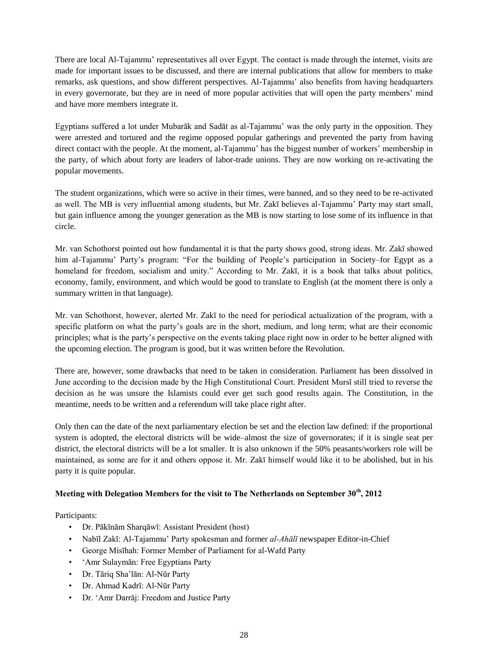There are local Al-Tajammu' representatives all over Egypt. The contact is made through the internet, visits are made for important issues to be discussed, and there are internal publications that allow for members to make remarks, ask questions, and show different perspectives. Al-Tajammu' also benefits from having headquarters in every governorate, but they are in need of more popular activities that will open the party members' mind and have more members integrate it.

Egyptians suffered a lot under Mubarāk and Sadāt as al-Tajammu' was the only party in the opposition. They were arrested and tortured and the regime opposed popular gatherings and prevented the party from having direct contact with the people. At the moment, al-Tajammu' has the biggest number of workers' membership in the party, of which about forty are leaders of labor-trade unions. They are now working on re-activating the popular movements.

The student organizations, which were so active in their times, were banned, and so they need to be re-activated as well. The MB is very influential among students, but Mr. Zakī believes al-Tajammu' Party may start small, but gain influence among the younger generation as the MB is now starting to lose some of its influence in that circle.

Mr. van Schothorst pointed out how fundamental it is that the party shows good, strong ideas. Mr. Zakī showed him al-Tajammu' Party's program: "For the building of People's participation in Society–for Egypt as a homeland for freedom, socialism and unity." According to Mr. Zakī, it is a book that talks about politics, economy, family, environment, and which would be good to translate to English (at the moment there is only a summary written in that language).

Mr. van Schothorst, however, alerted Mr. Zakī to the need for periodical actualization of the program, with a specific platform on what the party's goals are in the short, medium, and long term; what are their economic principles; what is the party's perspective on the events taking place right now in order to be better aligned with the upcoming election. The program is good, but it was written before the Revolution.

There are, however, some drawbacks that need to be taken in consideration. Parliament has been dissolved in June according to the decision made by the High Constitutional Court. President Mursī still tried to reverse the decision as he was unsure the Islamists could ever get such good results again. The Constitution, in the meantime, needs to be written and a referendum will take place right after.

Only then can the date of the next parliamentary election be set and the election law defined: if the proportional system is adopted, the electoral districts will be wide–almost the size of governorates; if it is single seat per district, the electoral districts will be a lot smaller. It is also unknown if the 50% peasants/workers role will be maintained, as some are for it and others oppose it. Mr. Zakī himself would like it to be abolished, but in his party it is quite popular.

#### **Meeting with Delegation Members for the visit to The Netherlands on September 30th, 2012**

Participants:

- Dr. Pākīnām Sharqāwī: Assistant President (host)
- Nabīl Zakī: Al-Tajammu' Party spokesman and former *al-Ahālī* newspaper Editor-in-Chief
- George Misīhah: Former Member of Parliament for al-Wafd Party
- 'Amr Sulaymān: Free Egyptians Party
- Dr. Tāriq Sha'lān: Al-Nūr Party
- Dr. Ahmad Kadrī: Al-Nūr Party
- Dr. 'Amr Darrāj: Freedom and Justice Party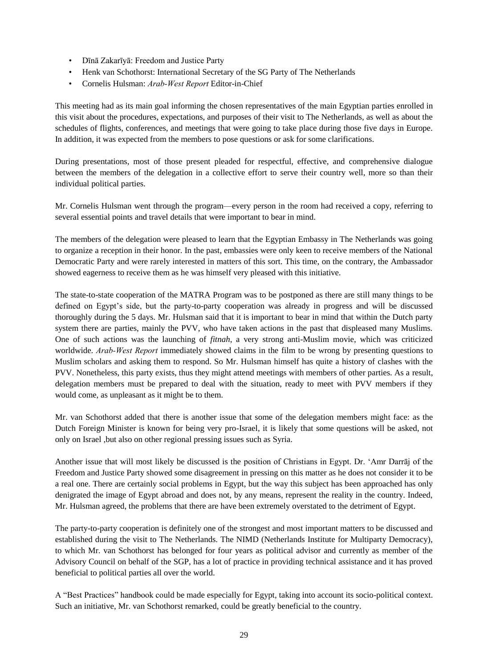- Dīnā Zakarīyā: Freedom and Justice Party
- Henk van Schothorst: International Secretary of the SG Party of The Netherlands
- Cornelis Hulsman: *Arab-West Report* Editor-in-Chief

This meeting had as its main goal informing the chosen representatives of the main Egyptian parties enrolled in this visit about the procedures, expectations, and purposes of their visit to The Netherlands, as well as about the schedules of flights, conferences, and meetings that were going to take place during those five days in Europe. In addition, it was expected from the members to pose questions or ask for some clarifications.

During presentations, most of those present pleaded for respectful, effective, and comprehensive dialogue between the members of the delegation in a collective effort to serve their country well, more so than their individual political parties.

Mr. Cornelis Hulsman went through the program—every person in the room had received a copy, referring to several essential points and travel details that were important to bear in mind.

The members of the delegation were pleased to learn that the Egyptian Embassy in The Netherlands was going to organize a reception in their honor. In the past, embassies were only keen to receive members of the National Democratic Party and were rarely interested in matters of this sort. This time, on the contrary, the Ambassador showed eagerness to receive them as he was himself very pleased with this initiative.

The state-to-state cooperation of the MATRA Program was to be postponed as there are still many things to be defined on Egypt's side, but the party-to-party cooperation was already in progress and will be discussed thoroughly during the 5 days. Mr. Hulsman said that it is important to bear in mind that within the Dutch party system there are parties, mainly the PVV, who have taken actions in the past that displeased many Muslims. One of such actions was the launching of *fitnah*, a very strong anti-Muslim movie, which was criticized worldwide. *Arab-West Report* immediately showed claims in the film to be wrong by presenting questions to Muslim scholars and asking them to respond. So Mr. Hulsman himself has quite a history of clashes with the PVV. Nonetheless, this party exists, thus they might attend meetings with members of other parties. As a result, delegation members must be prepared to deal with the situation, ready to meet with PVV members if they would come, as unpleasant as it might be to them.

Mr. van Schothorst added that there is another issue that some of the delegation members might face: as the Dutch Foreign Minister is known for being very pro-Israel, it is likely that some questions will be asked, not only on Israel ,but also on other regional pressing issues such as Syria.

Another issue that will most likely be discussed is the position of Christians in Egypt. Dr. 'Amr Darrāj of the Freedom and Justice Party showed some disagreement in pressing on this matter as he does not consider it to be a real one. There are certainly social problems in Egypt, but the way this subject has been approached has only denigrated the image of Egypt abroad and does not, by any means, represent the reality in the country. Indeed, Mr. Hulsman agreed, the problems that there are have been extremely overstated to the detriment of Egypt.

The party-to-party cooperation is definitely one of the strongest and most important matters to be discussed and established during the visit to The Netherlands. The NIMD (Netherlands Institute for Multiparty Democracy), to which Mr. van Schothorst has belonged for four years as political advisor and currently as member of the Advisory Council on behalf of the SGP, has a lot of practice in providing technical assistance and it has proved beneficial to political parties all over the world.

A "Best Practices" handbook could be made especially for Egypt, taking into account its socio-political context. Such an initiative, Mr. van Schothorst remarked, could be greatly beneficial to the country.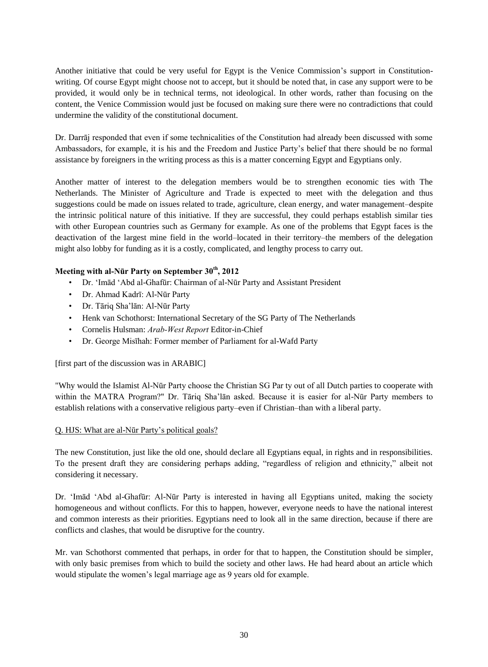Another initiative that could be very useful for Egypt is the Venice Commission's support in Constitutionwriting. Of course Egypt might choose not to accept, but it should be noted that, in case any support were to be provided, it would only be in technical terms, not ideological. In other words, rather than focusing on the content, the Venice Commission would just be focused on making sure there were no contradictions that could undermine the validity of the constitutional document.

Dr. Darrāj responded that even if some technicalities of the Constitution had already been discussed with some Ambassadors, for example, it is his and the Freedom and Justice Party's belief that there should be no formal assistance by foreigners in the writing process as this is a matter concerning Egypt and Egyptians only.

Another matter of interest to the delegation members would be to strengthen economic ties with The Netherlands. The Minister of Agriculture and Trade is expected to meet with the delegation and thus suggestions could be made on issues related to trade, agriculture, clean energy, and water management–despite the intrinsic political nature of this initiative. If they are successful, they could perhaps establish similar ties with other European countries such as Germany for example. As one of the problems that Egypt faces is the deactivation of the largest mine field in the world–located in their territory–the members of the delegation might also lobby for funding as it is a costly, complicated, and lengthy process to carry out.

# **Meeting with al-Nūr Party on September 30th, 2012**

- Dr. 'Imād 'Abd al-Ghafūr: Chairman of al-Nūr Party and Assistant President
- Dr. Ahmad Kadrī: Al-Nūr Party
- Dr. Tāriq Sha'lān: Al-Nūr Party
- Henk van Schothorst: International Secretary of the SG Party of The Netherlands
- Cornelis Hulsman: *Arab-West Report* Editor-in-Chief
- Dr. George Misīhah: Former member of Parliament for al-Wafd Party

[first part of the discussion was in ARABIC]

"Why would the Islamist Al-Nūr Party choose the Christian SG Par ty out of all Dutch parties to cooperate with within the MATRA Program?" Dr. Tāriq Sha'lān asked. Because it is easier for al-Nūr Party members to establish relations with a conservative religious party–even if Christian–than with a liberal party.

#### Q. HJS: What are al-Nūr Party's political goals?

The new Constitution, just like the old one, should declare all Egyptians equal, in rights and in responsibilities. To the present draft they are considering perhaps adding, "regardless of religion and ethnicity," albeit not considering it necessary.

Dr. 'Imād 'Abd al-Ghafūr: Al-Nūr Party is interested in having all Egyptians united, making the society homogeneous and without conflicts. For this to happen, however, everyone needs to have the national interest and common interests as their priorities. Egyptians need to look all in the same direction, because if there are conflicts and clashes, that would be disruptive for the country.

Mr. van Schothorst commented that perhaps, in order for that to happen, the Constitution should be simpler, with only basic premises from which to build the society and other laws. He had heard about an article which would stipulate the women's legal marriage age as 9 years old for example.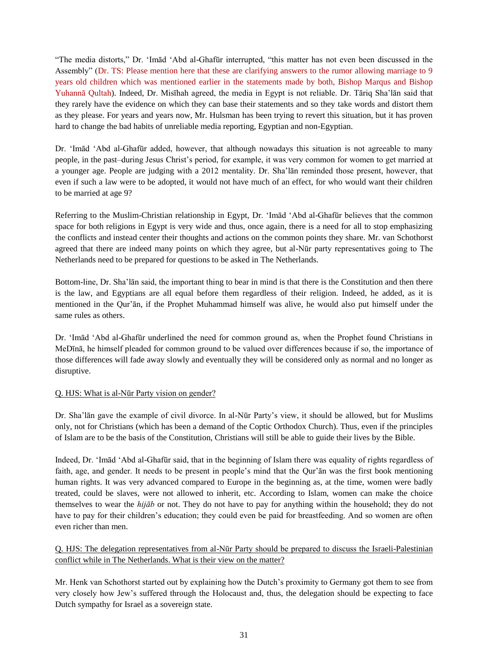"The media distorts," Dr. 'Imād 'Abd al-Ghafūr interrupted, "this matter has not even been discussed in the Assembly" (Dr. TS: Please mention here that these are clarifying answers to the rumor allowing marriage to 9 years old children which was mentioned earlier in the statements made by both, Bishop Marqus and Bishop Yuhannā Qultah). Indeed, Dr. Misīhah agreed, the media in Egypt is not reliable. Dr. Tāriq Sha'lān said that they rarely have the evidence on which they can base their statements and so they take words and distort them as they please. For years and years now, Mr. Hulsman has been trying to revert this situation, but it has proven hard to change the bad habits of unreliable media reporting, Egyptian and non-Egyptian.

Dr. 'Imād 'Abd al-Ghafūr added, however, that although nowadays this situation is not agreeable to many people, in the past–during Jesus Christ's period, for example, it was very common for women to get married at a younger age. People are judging with a 2012 mentality. Dr. Sha'lān reminded those present, however, that even if such a law were to be adopted, it would not have much of an effect, for who would want their children to be married at age 9?

Referring to the Muslim-Christian relationship in Egypt, Dr. 'Imād 'Abd al-Ghafūr believes that the common space for both religions in Egypt is very wide and thus, once again, there is a need for all to stop emphasizing the conflicts and instead center their thoughts and actions on the common points they share. Mr. van Schothorst agreed that there are indeed many points on which they agree, but al-Nūr party representatives going to The Netherlands need to be prepared for questions to be asked in The Netherlands.

Bottom-line, Dr. Sha'lān said, the important thing to bear in mind is that there is the Constitution and then there is the law, and Egyptians are all equal before them regardless of their religion. Indeed, he added, as it is mentioned in the Qur'ān, if the Prophet Muhammad himself was alive, he would also put himself under the same rules as others.

Dr. 'Imād 'Abd al-Ghafūr underlined the need for common ground as, when the Prophet found Christians in MeDīnā, he himself pleaded for common ground to be valued over differences because if so, the importance of those differences will fade away slowly and eventually they will be considered only as normal and no longer as disruptive.

## Q. HJS: What is al-Nūr Party vision on gender?

Dr. Sha'lān gave the example of civil divorce. In al-Nūr Party's view, it should be allowed, but for Muslims only, not for Christians (which has been a demand of the Coptic Orthodox Church). Thus, even if the principles of Islam are to be the basis of the Constitution, Christians will still be able to guide their lives by the Bible.

Indeed, Dr. 'Imād 'Abd al-Ghafūr said, that in the beginning of Islam there was equality of rights regardless of faith, age, and gender. It needs to be present in people's mind that the Qur'ān was the first book mentioning human rights. It was very advanced compared to Europe in the beginning as, at the time, women were badly treated, could be slaves, were not allowed to inherit, etc. According to Islam, women can make the choice themselves to wear the *hijāb* or not. They do not have to pay for anything within the household; they do not have to pay for their children's education; they could even be paid for breastfeeding. And so women are often even richer than men.

Q. HJS: The delegation representatives from al-Nūr Party should be prepared to discuss the Israeli-Palestinian conflict while in The Netherlands. What is their view on the matter?

Mr. Henk van Schothorst started out by explaining how the Dutch's proximity to Germany got them to see from very closely how Jew's suffered through the Holocaust and, thus, the delegation should be expecting to face Dutch sympathy for Israel as a sovereign state.